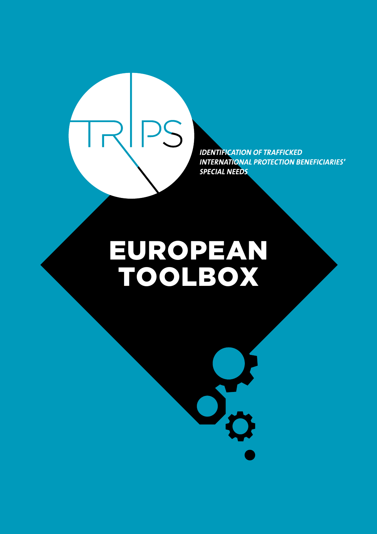

**IDENTIFICATION OF TRAFFICKED INTERNATIONAL PROTECTION BENEFICIARIES' SPECIAL NEEDS** 

# EUROPEAN TOOLBOX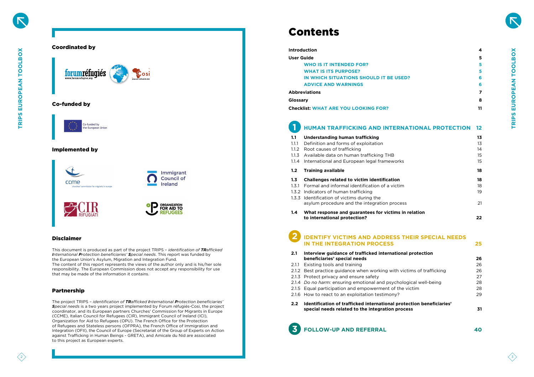

# Partnership

This document is produced as part of the project TRIPS – *identification of TRafficked International Protection beneficiaries' Special needs*. This report was funded by the European Union's Asylum, Migration and Integration Fund. The content of this report represents the views of the author only and is his/her sole responsibility. The European Commission does not accept any responsibility for use

that may be made of the information it contains.

The project TRIPS – *identification of TRafficked International Protection beneficiaries' Special needs* is a two years project implemented by Forum réfugiés-Cosi, the project coordinator, and its European partners Churches' Commission for Migrants in Europe (CCME), Italian Council for Refugees (CIR), Immigrant Council of Ireland (ICI), Organization for Aid to Refugees (OPU). The French Office for the Protection of Refugees and Stateless persons (OFPRA), the French Office of Immigration and Integration (OFII), the Council of Europe (Secretariat of the Group of Experts on Action against Trafficking in Human Beings - GRETA), and Amicale du Nid are associated to this project as European experts.

# Contents

### **[Introduction](#page-2-0) 4**

**[User Guide](#page-2-0)** 

- **2.1** Interview quidance of trafficked internation  **[beneficiaries'](#page-13-0) [special](#page-13-0) needs 26**
- 2.1.1 [Existing tools and training](#page-13-0)
- 2.1.2 Best practice guidance when working with vi
- 2.1.3 [Protect privacy and ensure safety](#page-13-0)
- 2.1.4 *Do no harm:* ensuring emotional and psychology
- 2.1.5 Equal participation and empowerment of the
- 2.1.6 How to react to an exploitation testimony?
- **[2.2 Identification](#page-15-0) of trafficked [international](#page-15-0) protection [beneficiaries'](#page-15-0) special needs [related](#page-15-0) to the [integration](#page-15-0) process 31**

|                   | ,,,,,,,,,,,,,,,,,                                                                      |          |
|-------------------|----------------------------------------------------------------------------------------|----------|
| <b>User Guide</b> |                                                                                        | 5        |
|                   | <b>WHO IS IT INTENDED FOR?</b>                                                         | 5        |
|                   | <b>WHAT IS ITS PURPOSE?</b>                                                            | 5        |
|                   | IN WHICH SITUATIONS SHOULD IT BE USED?                                                 | 6        |
|                   | <b>ADVICE AND WARNINGS</b>                                                             | 6        |
|                   | <b>Abbreviations</b>                                                                   | 7        |
| Glossary          |                                                                                        | 8        |
|                   | <b>Checklist: WHAT ARE YOU LOOKING FOR?</b>                                            | 11       |
|                   |                                                                                        |          |
|                   | <b>HUMAN TRAFFICKING AND INTERNATIONAL PROTECTION</b>                                  | 12       |
|                   |                                                                                        |          |
| 1.1               | <b>Understanding human trafficking</b>                                                 | 13       |
| 1.1.1             | Definition and forms of exploitation                                                   | 13       |
| 1.1.2             | Root causes of trafficking                                                             | 14       |
| 1.1.3<br>1.1.4    | Available data on human trafficking THB<br>International and European legal frameworks | 15<br>15 |
|                   |                                                                                        |          |
| 1.2               | <b>Training available</b>                                                              | 18       |
| 1.3               | <b>Challenges related to victim identification</b>                                     | 18       |
| 1.3.1             | Formal and informal identification of a victim                                         | 18       |
| 1.3.2             | Indicators of human trafficking                                                        | 19       |
| 1.3.3             | Identification of victims during the                                                   |          |
|                   | asylum procedure and the integration process                                           | 21       |
| 1.4               | What response and guarantees for victims in relation                                   |          |
|                   | to international protection?                                                           | 22       |

| al protection                      |    |
|------------------------------------|----|
|                                    | 26 |
|                                    | 26 |
| ictims of trafficking              | 26 |
|                                    | 27 |
| ogical well-being                  | 28 |
| : victim                           | 28 |
|                                    | 29 |
| taetian hanaficiariac <sup>,</sup> |    |



# **HUMAN TRAFFICKING AND INTERN**

### **1.1** Understanding human trafficking

- 1.1.1 [Definition and forms of exploitation](#page-6-0)
- 1.1.2 Root causes of trafficking
- 1.1.3 Available data on human trafficking THB
- 1.1.4 International and European legal frameworks

### **1.2** Training available

- **1.3 Challenges related to [victim identification](#page-9-0) 18**
- 1.3.1 [Formal and informal identification of a victim](#page-9-0)
- 1.3.2 [Indicators of human trafficking](#page-9-0)
- 1.3.3 [Identification of victims during the](#page-10-0)  asylum procedure and the integration proces
- **[1.4 What](#page-11-0) response [and guarantees](#page-11-0) for victims in [relation](#page-11-0) to [international protection?](#page-11-0)  22**

# **IDENTIFY VICTIMS [AND ADDRESS THEIR](#page-12-0) SPECIAL NEEDS IN THE INTEGRATION PROCESS** 25



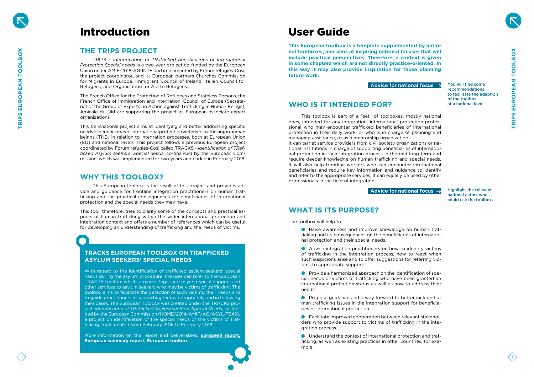



**TRIPS EUROPEAN TOOLBOX TRIPS EUROPEAN TOOLBOX** 

# <span id="page-2-0"></span>Introduction

# **THE TRIPS PROJECT**

TRIPS – *identification of TRafficked beneficiairies of International Protection Special needs* is a two-year project co-funded by the European Union under AMIF-2018-AG-INTE and implemented by Forum réfugiés-Cosi, the project coordinator, and its European partners Churches Commission for Migrants in Europe, Immigrant Council of Ireland, Italian Council for Refugees, and Organization for Aid to Refugees.

The French Office for the Protection of Refugees and Stateless Persons, the French Office of Immigration and Integration, Council of Europe (Secreta riat of the Group of Experts on Action against Trafficking in Human Beings), Amicale du Nid are supporting the project as European associate expert organizations.

This transnational project aims at identifying and better addressing specific needs of beneficiaries of international protection victims of trafficking in human beings (THB) in relation to integration processes, both at European Union (EU) and national levels. This project follows a previous European project coordinated by Forum réfugiés-Cosi called TRACKS - *identification of TRafficked Asylum seeKers' Special needs*, co-financed by the European Commission, which was implemented for two years and ended in February 2018.

# **WHY THIS TOOLBOX?**

This European toolbox is the result of this project and provides ad vice and guidance for frontline integration practitioners on human traf ficking and the practical consequences for beneficiaries of international protection and the special needs they may have.

This tool, therefore, tries to clarify some of the concepts and practical as pects of human trafficking within the wider international protection and integration context and offers a number of references which can be useful for developing an understanding of trafficking and the needs of victims.

# User Guide

**This European toolbox is a template supplemented by natio nal toolboxes, and aims at inspiring national focuses that will include practical perspectives. Therefore, a context is given in some chapters which are not directly practice-oriented. In this way it may also provide inspiration for those planning future work.**

# **WHO IS IT INTENDED FOR?**

This toolbox is part of a "set" of toolboxes, mostly national ones, intended for any integration, international protection profes sional who may encounter trafficked beneficiaries of international protection in their daily work, or who is in charge of planning and managing assistance, or as a mentorship organization. It can target service providers from civil society organizations or na tional institutions in charge of supporting beneficiaries of internatio nal protection in their integration process in the mid-long term and require deeper knowledge on human trafficking and special needs. It will also help frontline workers who can encounter international beneficiaries and require key information and guidance to identify and refer to the appropriate services. It can equally be used by other professionals in the field of integration.

# **WHAT IS ITS PURPOSE?**

The toolbox will help to:

- Raise awareness and improve knowledge on human traf ficking and its consequences on the beneficiaries of internatio nal protection and their special needs.
- Advise integration practitioners on how to identify victims of trafficking in the integration process, how to react when such suspicions arise and to offer suggestions for referring vic tims to appropriate support.
- Provide a harmonized approach on the identification of spe cial needs of victims of trafficking who have been granted an international protection status as well as how to address their needs.
- Propose guidance and a way forward to better include hu man trafficking issues in the integration support for beneficia ries of international protection.
- Facilitate improved cooperation between relevant stakehol ders who provide support to victims of trafficking in the inte gration process.
- Understand the context of international protection and traf ficking, as well as existing practices in other countries, for exa mple.

You will find some recommendations to facilitate the adaption of the toolbox at a national level.

Highlight the relevant national actors who could use the toolbox.

# **Advice for national focus**



# **TRACKS EUROPEAN TOOLBOX ON TRAFFICKED ASYLUM SEEKERS' SPECIAL NEEDS**

With regard to the identification of trafficked asylum seekers' special needs during the asylum procedure, the user can refer to the European TRACKS toolbox which provides legal and psycho-social support and other services to asylum seekers who may be victims of trafficking. The toolbox aims to facilitate the detection of such victims, their needs and to guide practitioners in supporting them appropriately and in following their cases. The European Toolbox was created under the TRACKS pro ject, *identification of TRafficked Asylum seeKers' Special Needs*, co-fun ded by the European Commission (HOME/2014/AMIF/AG/ASYL/7849), a project on identification of the special needs of the victims of traf ficking implemented from February 2016 to February 2018.

More information on the report and deliverables: **[European report,](https://www.forumrefugies.org/images/s-informer/publications/rapports/tracks/TRACKS_consolidated_Report_January_2018_BD.pdf)  [European](https://www.forumrefugies.org/images/s-informer/publications/rapports/tracks/TRACKS_Summary_report_January_2018.pdf) summary report, [European toolbox](https://www.forumrefugies.org/images/s-informer/publications/rapports/tracks/TRACKS_Toolbox_EU_2018.pdf)**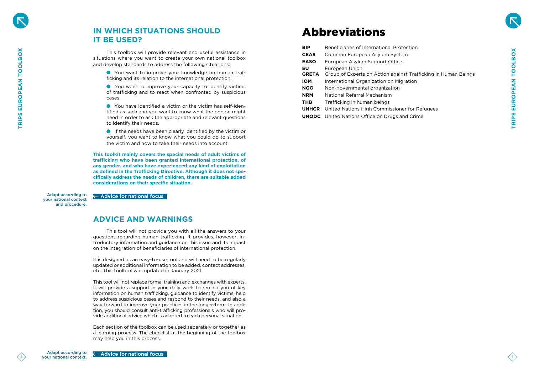# Abbreviations

<span id="page-3-0"></span>

|                |                                                                      |                                                                                                                                                                                                                                                                         | <b>BIP</b>   | Beneficiaries of International Protection                      |  |
|----------------|----------------------------------------------------------------------|-------------------------------------------------------------------------------------------------------------------------------------------------------------------------------------------------------------------------------------------------------------------------|--------------|----------------------------------------------------------------|--|
| O              |                                                                      | This toolbox will provide relevant and useful assistance in                                                                                                                                                                                                             | <b>CEAS</b>  | Common European Asylum System                                  |  |
| EUROPEAN TOOLB |                                                                      | situations where you want to create your own national toolbox<br>and develop standards to address the following situations:                                                                                                                                             | <b>EASO</b>  | European Asylum Support Office                                 |  |
|                |                                                                      |                                                                                                                                                                                                                                                                         | <b>EU</b>    | European Union                                                 |  |
|                |                                                                      | • You want to improve your knowledge on human traf-<br>ficking and its relation to the international protection.                                                                                                                                                        | <b>GRETA</b> | Group of Experts on Action against Trafficking in Human Beings |  |
|                |                                                                      |                                                                                                                                                                                                                                                                         | <b>IOM</b>   | International Organization on Migration                        |  |
|                |                                                                      | • You want to improve your capacity to identify victims<br>of trafficking and to react when confronted by suspicious                                                                                                                                                    | <b>NGO</b>   | Non-governmental organization                                  |  |
|                |                                                                      | cases.                                                                                                                                                                                                                                                                  | <b>NRM</b>   | National Referral Mechanism                                    |  |
|                |                                                                      | • You have identified a victim or the victim has self-iden-                                                                                                                                                                                                             | <b>THB</b>   | Trafficking in human beings                                    |  |
|                |                                                                      | tified as such and you want to know what the person might                                                                                                                                                                                                               |              | <b>UNHCR</b> United Nations High Commissioner for Refugees     |  |
| <b>TRIPS</b>   |                                                                      | need in order to ask the appropriate and relevant questions<br>to identify their needs.                                                                                                                                                                                 |              | <b>UNODC</b> United Nations Office on Drugs and Crime          |  |
|                |                                                                      | If the needs have been clearly identified by the victim or                                                                                                                                                                                                              |              |                                                                |  |
|                |                                                                      | yourself, you want to know what you could do to support                                                                                                                                                                                                                 |              |                                                                |  |
|                |                                                                      | the victim and how to take their needs into account.                                                                                                                                                                                                                    |              |                                                                |  |
|                |                                                                      | This toolkit mainly covers the special needs of adult victims of                                                                                                                                                                                                        |              |                                                                |  |
|                |                                                                      | trafficking who have been granted international protection, of<br>any gender, and who have experienced any kind of exploitation                                                                                                                                         |              |                                                                |  |
|                |                                                                      | as defined in the Trafficking Directive. Although it does not spe-                                                                                                                                                                                                      |              |                                                                |  |
|                |                                                                      | cifically address the needs of children, there are suitable added                                                                                                                                                                                                       |              |                                                                |  |
|                |                                                                      | considerations on their specific situation.                                                                                                                                                                                                                             |              |                                                                |  |
|                | <b>Adapt according to</b><br>your national context<br>and procedure. | $\leftarrow$ Advice for national focus                                                                                                                                                                                                                                  |              |                                                                |  |
|                |                                                                      | <b>ADVICE AND WARNINGS</b>                                                                                                                                                                                                                                              |              |                                                                |  |
|                |                                                                      | This tool will not provide you with all the answers to your<br>questions regarding human trafficking. It provides, however, in-<br>troductory information and guidance on this issue and its impact<br>on the integration of beneficiaries of international protection. |              |                                                                |  |
|                |                                                                      | It is designed as an easy-to-use tool and will need to be regularly<br>updated or additional information to be added, contact addresses,<br>etc. This toolbox was updated in January 2021.                                                                              |              |                                                                |  |
|                |                                                                      | This tool will not replace formal training and exchanges with experts.<br>It will provide a support in your daily work to remind you of key<br>information on human trafficking, guidance to identify victims, help                                                     |              |                                                                |  |
|                |                                                                      | to address suspicious cases and respond to their needs, and also a                                                                                                                                                                                                      |              |                                                                |  |
|                |                                                                      | way forward to improve your practices in the longer-term. In addi-<br>tion, you should consult anti-trafficking professionals who will pro-                                                                                                                             |              |                                                                |  |
|                |                                                                      | vide additional advice which is adapted to each personal situation.                                                                                                                                                                                                     |              |                                                                |  |
|                |                                                                      | Each section of the toolbox can be used separately or together as                                                                                                                                                                                                       |              |                                                                |  |
|                |                                                                      | a learning process. The checklist at the beginning of the toolbox                                                                                                                                                                                                       |              |                                                                |  |
|                |                                                                      | may help you in this process.                                                                                                                                                                                                                                           |              |                                                                |  |
|                | Adapt according to<br>vour national context.                         | $\leftarrow$ Advice for national focus                                                                                                                                                                                                                                  |              |                                                                |  |

# **IN WHICH SITUATIONS SHOULD IT BE USED?**

# **ADVICE AND WARNINGS**



**Bection** 

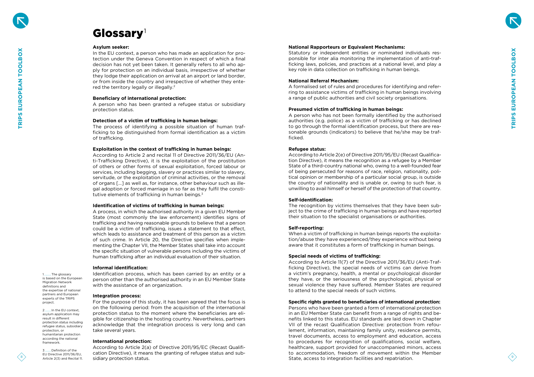8





## **National Rapporteurs or Equivalent Mechanisms:**

Statutory or independent entities or nominated individuals res ponsible for inter alia monitoring the implementation of anti-traf ficking laws, policies, and practices at a national level, and play a key role in data collection on trafficking in human beings.

### **National Referral Mechanism:**

A formalised set of rules and procedures for identifying and refer ring to assistance victims of trafficking in human beings involving a range of public authorities and civil society organisations.

### **Presumed victim of trafficking in human beings:**

A person who has not been formally identified by the authorised authorities (e.g. police) as a victim of trafficking or has declined to go through the formal identification process, but there are rea sonable grounds (indicators) to believe that he/she may be traf ficked.

### **Refugee status:**

According to Article 2(e) of Directive 2011/95/EU (Recast Qualifica tion Directive), it means the recognition as a refugee by a Member State of a third-country national who, owing to a well-founded fear of being persecuted for reasons of race, religion, nationality, poli tical opinion or membership of a particular social group, is outside the country of nationality and is unable or, owing to such fear, is unwilling to avail himself or herself of the protection of that country.

### **Self-identification:**

In the EU context, a person who has made an application for pro tection under the Geneva Convention in respect of which a final decision has not yet been taken. It generally refers to all who ap ply for protection on an individual basis, irrespective of whether they lodge their application on arrival at an airport or land border, or from inside the country and irrespective of whether they ente red the territory legally or illegally.<sup>2</sup>

> The recognition by victims themselves that they have been sub ject to the crime of trafficking in human beings and have reported their situation to the specialist organisations or authorities.

### **Self-reporting:**

When a victim of trafficking in human beings reports the exploita tion/abuse they have experienced/they experience without being aware that it constitutes a form of trafficking in human beings.

## **Special needs of victims of trafficking:**

According to Article 2 and recital 11 of Directive 2011/36/EU (An ti-Trafficking Directive), it is the exploitation of the prostitution of others or other forms of sexual exploitation, forced labour or services, including begging, slavery or practices similar to slavery, servitude, or the exploitation of criminal activities, or the removal of organs […] as well as, for instance, other behaviour such as ille gal adoption or forced marriage in so far as they fulfil the consti tutive elements of trafficking in human beings.<sup>3</sup>

> According to Article 11(7) of the Directive 2011/36/EU (Anti-Traf ficking Directive), the special needs of victims can derive from a victim's pregnancy, health, a mental or psychological disorder they have, or the seriousness of the psychological, physical or sexual violence they have suffered. Member States are required to attend to the special needs of such victims.

## **Specific rights granted to beneficiaries of international protection:**

Persons who have been granted a form of international protection in an EU Member State can benefit from a range of rights and be nefits linked to this status. EU standards are laid down in Chapter VII of the recast Qualification Directive: protection from refou lement, information, maintaining family unity, residence permits, travel documents, access to employment and education, access to procedures for recognition of qualifications, social welfare, healthcare, support provided for unaccompanied minors, access to accommodation, freedom of movement within the Member State, access to integration facilities and repatriation.

1.........The glossary is based on the European Migration Network definitions and the expertise of national partners and European experts of the TRIPS

### **Asylum seeker:**

### **Beneficiary of international protection:**

A person who has been granted a refugee status or subsidiary protection status.

### **Detection of a victim of trafficking in human beings:**

The process of identifying a possible situation of human traf ficking to be distinguished from formal identification as a victim of trafficking.

### **Exploitation in the context of trafficking in human beings:**

### **Identification of victims of trafficking in human beings:**

# <span id="page-4-0"></span>Glossary 1

A process, in which the authorised authority in a given EU Member State (most commonly the law enforcement) identifies signs of trafficking and having reasonable grounds to believe that a person could be a victim of trafficking, issues a statement to that effect, which leads to assistance and treatment of this person as a victim of such crime. In Article 20, the Directive specifies when imple menting the Chapter VII, the Member States shall take into account the specific situation of vulnerable persons including the victims of human trafficking after an individual evaluation of their situation.

### **Informal identification:**

Identification process, which has been carried by an entity or a person other than the authorised authority in an EU Member State with the assistance of an organization.

## **Integration process:**

For the purpose of this study, it has been agreed that the focus is on the following period: from the acquisition of the international protection status to the moment where the beneficiaries are eli gible for citizenship in the hosting country. Nevertheless, partners acknowledge that the integration process is very long and can take several years.

### **International protection:**

According to Article 2(a) of Directive 2011/95/EC (Recast Qualifi cation Directive), it means the granting of refugee status and sub sidiary protection status.

project. 2........In the EU context, asylum application may result in different protection status including refugee status, subsidiary protection, or humanitarian protection according the national framework.

3........Definition of the EU Directive 2011/36/EU, Article 2(3) and Recital 11.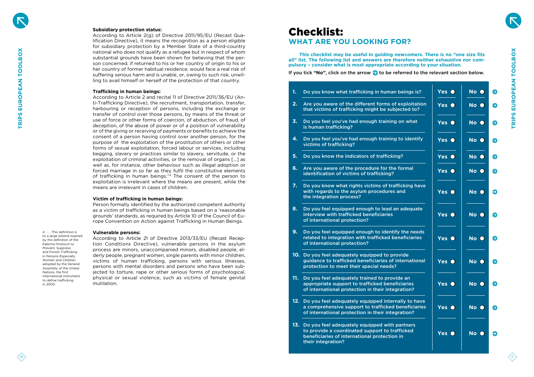- **1.** Do you know what trafficking in human be
- **2.** Are you aware of the different forms of exploits that victims of trafficking might be subject
- **3.** Do you feel you've had enough training on is human trafficking?
- **4.** Do you feel you've had enough training to victims of trafficking?
- **5.** Do you know the indicators of trafficking?
- **6.** Are you aware of the procedure for the formal identification of victims of trafficking?
- **7.** Do you know what rights victims of traffic with regards to the asylum procedures and the integration process?
- **8.** Do you feel equipped enough to lead an ad interview with trafficked beneficiaries of international protection?
- **9.** Do you feel equipped enough to identify the needs related to integration with trafficked benef of international protection?
- **10.** Do you feel adequately equipped to provid guidance to trafficked beneficiaries of inte protection to meet their special needs?
- **11.** Do you feel adequately trained to provide appropriate support to trafficked beneficial of international protection in their integration
- 12. Do you feel adequately equipped internally a comprehensive support to trafficked ben of international protection in their integration
- 13. Do you feel adequately equipped with par to provide a coordinated support to traffic beneficiaries of international protection in their integration?



## **Subsidiary protection status:**

According to Article 2(g) of Directive 2011/95/EU (Recast Qua lification Directive), it means the recognition as a person eligible for subsidiary protection by a Member State of a third-country national who does not qualify as a refugee but in respect of whom substantial grounds have been shown for believing that the per son concerned, if returned to his or her country of origin to his or her country of former habitual residence, would face a real risk of suffering serious harm and is unable, or, owing to such risk, unwilling to avail himself or herself of the protection of that country.

<span id="page-5-0"></span>

|                                                                                                                           | national who does not qualify as a refugee but in respect of whom<br>substantial grounds have been shown for believing that the per-<br>son concerned, if returned to his or her country of origin to his or<br>her country of former habitual residence, would face a real risk of<br>suffering serious harm and is unable, or, owing to such risk, unwil-<br>ling to avail himself or herself of the protection of that country. |                | This checklist may be useful in guiding newcomers. There is no "one size fits<br>all" list. The following list and answers are therefore neither exhaustive nor com-<br>pulsory - consider what is most appropriate according to your situation.<br>If you tick "No", click on the arrow $\blacktriangleright$ to be referred to the relevant section below. |               |           |
|---------------------------------------------------------------------------------------------------------------------------|------------------------------------------------------------------------------------------------------------------------------------------------------------------------------------------------------------------------------------------------------------------------------------------------------------------------------------------------------------------------------------------------------------------------------------|----------------|--------------------------------------------------------------------------------------------------------------------------------------------------------------------------------------------------------------------------------------------------------------------------------------------------------------------------------------------------------------|---------------|-----------|
|                                                                                                                           | <b>Trafficking in human beings:</b>                                                                                                                                                                                                                                                                                                                                                                                                |                | Do you know what trafficking in human beings is?                                                                                                                                                                                                                                                                                                             | Yes O         | No O      |
|                                                                                                                           | According to Article 2 and recital 11 of Directive 2011/36/EU (An-<br>ti-Trafficking Directive), the recruitment, transportation, transfer,<br>harbouring or reception of persons, including the exchange or<br>transfer of control over those persons, by means of the threat or                                                                                                                                                  | 2.             | Are you aware of the different forms of exploitation<br>that victims of trafficking might be subjected to?                                                                                                                                                                                                                                                   | Yes $\bullet$ | No O      |
|                                                                                                                           | use of force or other forms of coercion, of abduction, of fraud, of<br>deception, of the abuse of power or of a position of vulnerability<br>or of the giving or receiving of payments or benefits to achieve the                                                                                                                                                                                                                  |                | Do you feel you've had enough training on what<br>is human trafficking?                                                                                                                                                                                                                                                                                      | Yes O         | No O      |
|                                                                                                                           | consent of a person having control over another person, for the<br>purpose of the exploitation of the prostitution of others or other<br>forms of sexual exploitation, forced labour or services, including                                                                                                                                                                                                                        |                | Do you feel you've had enough training to identify<br>victims of trafficking?                                                                                                                                                                                                                                                                                | Yes $\bullet$ | No O      |
|                                                                                                                           | begging, slavery or practices similar to slavery, servitude, or the<br>exploitation of criminal activities, or the removal of organs [] as                                                                                                                                                                                                                                                                                         |                | Do you know the indicators of trafficking?                                                                                                                                                                                                                                                                                                                   | Yes $\bullet$ | No O      |
|                                                                                                                           | well as, for instance, other behaviour such as illegal adoption or<br>forced marriage in so far as they fulfil the constitutive elements<br>of trafficking in human beings."4 The consent of the person to                                                                                                                                                                                                                         | 6 <sub>1</sub> | Are you aware of the procedure for the formal<br>identification of victims of trafficking?                                                                                                                                                                                                                                                                   | Yes O         | No O      |
|                                                                                                                           | exploitation is irrelevant where the means are present, while the<br>means are irrelevant in cases of children.                                                                                                                                                                                                                                                                                                                    |                | Do you know what rights victims of trafficking have<br>with regards to the asylum procedures and                                                                                                                                                                                                                                                             | Yes O         | No O      |
|                                                                                                                           | Victim of trafficking in human beings:<br>Person formally identified by the authorized competent authority<br>as a victim of trafficking in human beings based on a 'reasonable<br>grounds' standards, as required by Article 10 of the Council of Eu-<br>rope Convention on Action against Trafficking in Human Beings.                                                                                                           |                | the integration process?<br>Do you feel equipped enough to lead an adequate<br>interview with trafficked beneficiaries<br>of international protection?                                                                                                                                                                                                       | Yes O         | No O      |
| This definition is<br>to a large extend inspired<br>by the definition of the<br>Palermo Protocol to<br>Prevent, Suppress  | <b>Vulnerable persons:</b><br>According to Article 21 of Directive 2013/33/EU (Recast Recep-<br>tion Conditions Directive), vulnerable persons in the asylum                                                                                                                                                                                                                                                                       | 9.             | Do you feel equipped enough to identify the needs<br>related to integration with trafficked beneficiaries<br>of international protection?                                                                                                                                                                                                                    | Yes $\bullet$ | <b>No</b> |
| and Punish Trafficking<br>in Persons Especially<br>Women and Children<br>adopted by the General<br>Assembly of the United | process are minors, unaccompanied minors, disabled people, el-<br>derly people, pregnant women, single parents with minor children,<br>victims of human trafficking, persons with serious illnesses,<br>persons with mental disorders and persons who have been sub-                                                                                                                                                               |                | 10. Do you feel adequately equipped to provide<br>guidance to trafficked beneficiaries of international<br>protection to meet their special needs?                                                                                                                                                                                                           | Yes O         | No O      |
| Nations, the first<br>international instrument<br>to define trafficking<br>in 2000.                                       | jected to torture, rape or other serious forms of psychological,<br>physical or sexual violence, such as victims of female genital<br>mutilation.                                                                                                                                                                                                                                                                                  |                | Do you feel adequately trained to provide an<br>appropriate support to trafficked beneficiaries<br>of international protection in their integration?                                                                                                                                                                                                         | Yes O         | No O      |
|                                                                                                                           |                                                                                                                                                                                                                                                                                                                                                                                                                                    | 12.            | Do you feel adequately equipped internally to have<br>a comprehensive support to trafficked beneficiaries<br>of international protection in their integration?                                                                                                                                                                                               | Yes O         | No O      |
|                                                                                                                           |                                                                                                                                                                                                                                                                                                                                                                                                                                    |                | 13. Do you feel adequately equipped with partners<br>to provide a coordinated support to trafficked<br>beneficiaries of international protection in<br>their integration?                                                                                                                                                                                    | Yes O         | No O      |
|                                                                                                                           |                                                                                                                                                                                                                                                                                                                                                                                                                                    |                |                                                                                                                                                                                                                                                                                                                                                              |               |           |



### **Trafficking in human beings:**

## **Victim of trafficking in human beings:**

## **Vulnerable persons:**

# Checklist: **WHAT ARE YOU LOOKING FOR?**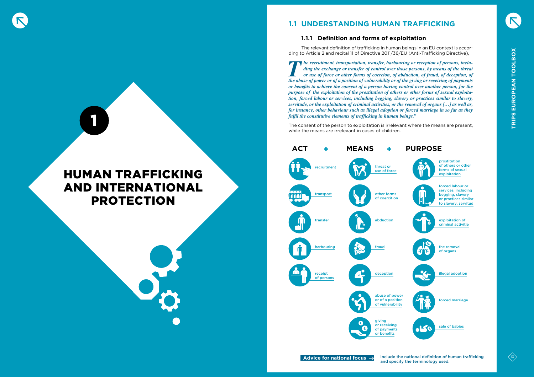

# AND INTERNATIONAL PROTECTION

# **1.1 UNDERSTANDING HUMAN TRAFFICKING**

# **1.1.1 Definition and forms of exploitation**

The relevant definition of trafficking in human beings in an EU context is according to Article 2 and recital 11 of Directive 2011/36/EU (Anti-Trafficking Directive),

**The recruitment, transportation, transfer, harbouring or reception of persons, inclu***ding the exchange or transfer of control over those persons, by means of the threat or use of force or other forms of coercion, of abduction, of fraud, of deception, of the abuse of power or of a position of vulnerability or of the giving or receiving of payments or benefits to achieve the consent of a person having control over another person, for the purpose of the exploitation of the prostitution of others or other forms of sexual exploitation, forced labour or services, including begging, slavery or practices similar to slavery, servitude, or the exploitation of criminal activities, or the removal of organs […] as well as, for instance, other behaviour such as illegal adoption or forced marriage in so far as they fulfil the constitutive elements of trafficking in human beings."*



The consent of the person to exploitation is irrelevant where the means are present, while the means are irrelevant in cases of children.







<span id="page-6-0"></span>1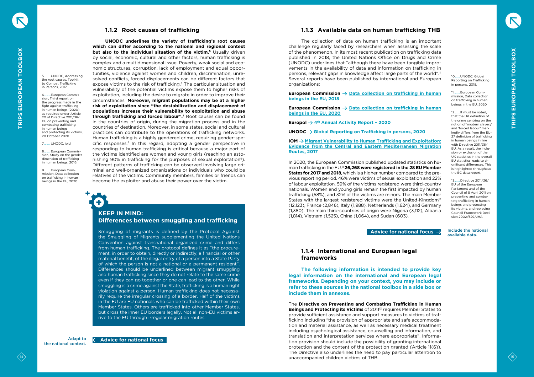## **1.1.2 Root causes of trafficking**

<span id="page-7-0"></span><sup>14</sup> <sup>15</sup> **TRIPS EUROPEAN TOOLBOX TRIPS EUROPEAN TOOLBOX UNODC underlines the variety of trafficking's root causes which can differ according to the national and regional context but also to the individual situation of the victim.5** Usually driven by social, economic, cultural and other factors, human trafficking is complex and a multidimensional issue. Poverty, weak social and economic structures, corruption, lack of employment and equal opportunities, violence against women and children, discrimination, unresolved conflicts, forced displacements can be different factors that expose victims to the risk of trafficking.6 The particular situation and vulnerability of the potential victims expose them to higher risks of exploitation, including the desire to migrate in order to improve their circumstances. **Moreover, migrant populations may be at a higher risk of exploitation since "the destabilization and displacement of populations increase their vulnerability to exploitation and abuse through trafficking and forced labour".7** Root causes can be found in the countries of origin, during the migration process and in the countries of destination. Moreover, in some states, social and cultural practices can contribute to the operations of trafficking networks. Human trafficking is a highly gendered crime, requiring gender-specific responses.8 In this regard, adopting a gender perspective in responding to human trafficking is critical because a major part of the victims identified are women and young girls (reaching an astonishing 90% in trafficking for the purposes of sexual exploitation<sup>9</sup>). Different patterns of trafficking can be observed involving large criminal and well-organized organizations or individuals who could be relatives of the victims. Community members, families or friends can become the exploiter and abuse their power over the victim.

5. LINODC Addressing the root causes, Toolkit to Combat Trafficking in Persons, 2017.

8. European Commission, Study on the gender dimension of trafficking in human beings, 2016.

9. European Commission, Data collection on trafficking in human beings in the EU, 2020

 $\overline{\textbf{t}}$ 

### Adapt to the national context.

+

6.........European Commission, Third report on the progress made in the fight against trafficking in human beings (2020) as required under Article 20 of Directive 2011/36/ EU on preventing and combating trafficking in human beings and protecting its victims, 20 October 2020.

### 7 **UNODC** ibid.

**European Commission**  $\rightarrow$  Data collection on [trafficking](https://ec.europa.eu/anti-trafficking/sites/antitrafficking/files/study_on_data_collection_on_trafficking_in_human_beings_in_the_eu.pdf) in human **[beings](https://ec.europa.eu/anti-trafficking/sites/antitrafficking/files/study_on_data_collection_on_trafficking_in_human_beings_in_the_eu.pdf) in the EU, 2018**

# **KEEP IN MIND: Differences between smuggling and trafficking**

Smuggling of migrants is defined by the Protocol Against the Smuggling of Migrants supplementing the United Nations Convention against transnational organized crime and differs from human trafficking. The protocol defines it as "the procurement, in order to obtain, directly or indirectly, a financial or other material benefit, of the illegal entry of a person into a State Party of which the person is not a national or a permanent resident". Differences should be underlined between migrant smuggling and human trafficking since they do not relate to the same crime even if they can go together or one can lead to the other. While smuggling is a crime against the State, trafficking is a human right violation against a person. Human trafficking does not necessarily require the irregular crossing of a border. Half of the victims in the EU are EU nationals who can be trafficked within their own Member States. Others are trafficked into other Member States, but cross the inner EU borders legally. Not all non-EU victims arrive to the EU through irregular migration routes.

11. Furopean Commission, Data collection on trafficking in human beings in the EU, 2020

12. It must be noted. that the UK definition of the crime centring on the notion of 'modern slavery' and 'forced labour' markedly differs from the EU-27 definition of trafficking in human beings in line with Directive 2011/36/ EU. As a result, the inclusion or exclusion of the UK statistics in the overall EU statistics leads to significant differences. This is highlighted throughout the EC data report.

 **Advice for national focus**

## **Advice for national focus**

# **1.1.3 Available data on human trafficking THB**

The collection of data on human trafficking is an important challenge regularly faced by researchers when assessing the scale of the phenomenon. In its most recent publication on trafficking data published in 2018, the United Nations Office on Drugs and Crime (UNODC) underlines that "although there have been tangible improvements in the availability of data and information on trafficking in persons, relevant gaps in knowledge affect large parts of the world".<sup>11</sup> Several reports have been published by international and European organizations:

**European Commission Data collection on [trafficking](https://ec.europa.eu/anti-trafficking/sites/antitrafficking/files/study_on_data_collection_on_trafficking_in_human_beings_in_the_eu.pdf) in human [beings](https://ec.europa.eu/anti-trafficking/sites/antitrafficking/files/study_on_data_collection_on_trafficking_in_human_beings_in_the_eu.pdf) in the EU, 2020**

**Europol**  $\rightarrow$  4<sup>th</sup> Annual [Activity](https://www.europol.europa.eu/publications-documents/emsc-4th-annual-activity-report-%E2%80%93-2020) Report - 2020

**UNODC Global Reporting on [Trafficking](https://www.unodc.org/unodc/data-and-analysis/glotip.html) in persons, 2020**

**IOM Migrant [Vulnerability](https://publications.iom.int/books/migrant-vulnerability-human-trafficking-and-exploitation-evidence-central-and-eastern) to Human Trafficking and Exploitation: Evidence from the Central and Eastern [Mediterranean](https://publications.iom.int/books/migrant-vulnerability-human-trafficking-and-exploitation-evidence-central-and-eastern) Migration [Routes,](https://publications.iom.int/books/migrant-vulnerability-human-trafficking-and-exploitation-evidence-central-and-eastern) 2017**

In 2020, the European Commission published updated statistics on human trafficking in the EU.<sup>11</sup> **26,268 were registered in the 28 EU Member States for 2017 and 2018**, which is a higher number compared to the previous reporting period. 46% were victims of sexual exploitation and 22% of labour exploitation. 59% of the victims registered were third-country nationals. Women and young girls remain the first impacted by human trafficking (58%), and 32% of the victims are minors. The main Member States with the largest registered victims were the United-Kingdom<sup>12</sup> (12,123), France (2,846), Italy (1,988), Netherlands (1,624), and Germany (1,380). The main third-countries of origin were Nigeria (3,112), Albania (1,814), Vietnam (1,525), China (1,064), and Sudan (603).

# **1.1.4 International and European legal frameworks**

 **The following information is intended to provide key legal information on the international and European legal frameworks. Depending on your context, you may include or refer to these sources in the national toolbox in a side box or include them in annexes.**

The **Directive on Preventing and Combating Trafficking in Human Beings and Protecting its Victims** of 201113 requires Member States to provide sufficient assistance and support measures to victims of trafficking including "the provision of appropriate and safe accommodation and material assistance, as well as necessary medical treatment including psychological assistance, counselling and information, and translation and interpretation services where appropriate". Information provision should include the possibility of granting international protection and the content of the protection granted (Article 11(6)). The Directive also underlines the need to pay particular attention to unaccompanied children victims of THB.

Include the national available data.



10 ......UNODC, Global Reporting on Trafficking in persons, 2018.

13.......Directive 2011/36/ EU of the European Parliament and of the Council of 5 April 2011 on preventing and combating trafficking in human beings and protecting its victims, and replacing Council Framework Decision 2002/629/JHA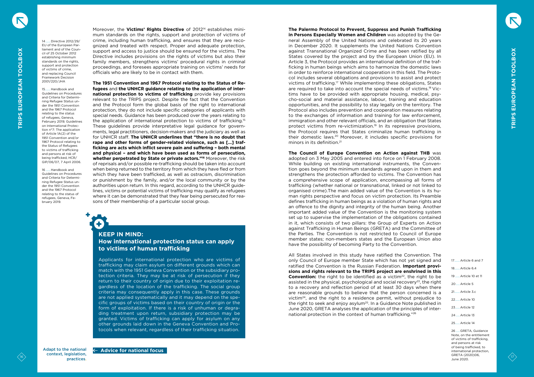+

Moreover, the **Victims' Rights Directive** of 201214 establishes minimum standards on the rights, support and protection of victims of crime, including human trafficking, and ensures that they are recognized and treated with respect. Proper and adequate protection, support and access to justice should be ensured for the victims. The Directive includes provisions on the rights of victims but also their family members, strengthens victims' procedural rights in criminal proceedings, and foresees appropriate training on victims' needs for officials who are likely to be in contact with them.

16 17 **C**  $\alpha$  **TRIPS EUROPEAN TO CONTROL** (1)  $\alpha$  **TRIPS EUROPEAN TO CONTROL (1)**  $\alpha$   $\beta$  **C**  $\alpha$  **C**  $\beta$  **C**  $\alpha$  **C**  $\beta$  **C**  $\beta$  **C**  $\beta$  **C**  $\beta$  **C**  $\beta$  **C**  $\beta$  **C**  $\beta$  **C**  $\beta$  **C**  $\beta$  **C**  $\beta$  **C**  $\beta$  **The 1951 Convention and 1967 Protocol relating to the Status of Refugees** and **the UNHCR guidance relating to the application of international protection to victims of trafficking** provide key provisions relevant to the TRIPS project. Despite the fact that the Convention and the Protocol form the global basis of the right to international protection, they do not include specific categories of applicants with special needs. Guidance has been produced over the years relating to the application of international protection to victims of trafficking.15 These guidelines provide interpretative legal guidance for governments, legal practitioners, decision-makers and the judiciary as well as for UNHCR staff. **The UNHCR underlines that "there is no doubt that rape and other forms of gender‑related violence, such as […] trafficking are acts which inflict severe pain and suffering – both mental and physical – and which have been used as forms of persecution, whether perpetrated by State or private actors."16** Moreover, the risk of reprisals and/or possible re-trafficking should be taken into account when being returned to the territory from which they have fled or from which they have been trafficked, as well as ostracism, discrimination or punishment by the family, and/or the local community or by the authorities upon return. In this regard, according to the UNHCR guidelines, victims or potential victims of trafficking may qualify as refugees where it can be demonstrated that they fear being persecuted for reasons of their membership of a particular social group.



context, legislation, practices.

# **KEEP IN MIND: How international protection status can apply to victims of human trafficking**

Applicants for international protection who are victims of trafficking may claim asylum on different grounds which can match with the 1951 Geneva Convention or the subsidiary protection criteria. They may be at risk of persecution if they return to their country of origin due to their exploitation regardless of the location of the trafficking. The social group criteria may consequently apply in this case. These grounds are not applied systematically and it may depend on the specific groups of victims based on their country of origin or the form of exploitation. If there is a risk of unhuman or degrading treatment upon return, subsidiary protection may be granted. Victims of trafficking can apply for asylum on any other grounds laid down in the Geneva Convention and Protocols when relevant, regardless of their trafficking situation.

14 ...... Directive 2012/29/ EU of the European Parliament and of the Council of 25 October 2012 establishing minimum standards on the rights, support and protection of victims of crime, and replacing Council Framework Decision 2001/220/JHA

15....... Handbook and Guidelines on Procedures and Criteria for Determining Refugee Status under the 1951 Convention and the 1967 Protocol relating to the status of refugees, Geneva, February 2019; Guidelines on International Protection n°7: The application of Article 1A(2) of the 1951 Convention and/or 1967 Protocol relating to the Status of Refugees to victims of trafficking and persons at risk of being trafficked, HCR/ GIP/06/07, 7 April 2006.

> 17. Article 6 and 7 18. Article 6.4 19 ......Article 10 et 11 20 .....Article 5 21.......Article 3.c 22......Article 10 23......Article 12 24 .....Article 13 25......Article 14

16 ...... Handbook and Guidelines on Procedures and Criteria for Determining Refugee Status under the 1951 Convention and the 1967 Protocol relating to the status of refugees, Geneva, February 2019.

 $\overline{\textbf{t}}$ 

**The Palermo Protocol to Prevent, Suppress and Punish Trafficking in Persons Especially Women and Children** was adopted by the General Assembly of the United Nations and celebrated its 20 years in December 2020. It supplements the United Nations Convention against Transnational Organized Crime and has been ratified by all States covered by the project and by the European Union (EU). In Article 3, the Protocol provides an international definition of the trafficking in human beings which aims to harmonize the domestic laws in order to reinforce international cooperation in this field. The Protocol includes several obligations and provisions to assist and protect victims of trafficking.17 While implementing these obligations, States are required to take into account the special needs of victims.18 Victims have to be provided with appropriate housing, medical, psycho-social and material assistance, labour, training and education opportunities, and the possibility to stay legally on the territory. The Protocol also includes prevention and cooperation measures relating to the exchanges of information and training for law enforcement, immigration and other relevant officials, and an obligation that States protect victims from re-victimization.19 In its repressive provisions, the Protocol requires that States criminalize human trafficking in their domestic laws.20 Moreover, it includes specific provisions for minors in its definition.<sup>21</sup>

**The Council of Europe Convention on Action against THB** was adopted on 3 May 2005 and entered into force on 1 February 2008. While building on existing international instruments, the Convention goes beyond the minimum standards agreed upon in them and strengthens the protection afforded to victims. The Convention has a comprehensive scope of application, encompassing all forms of trafficking (whether national or transnational, linked or not linked to organised crime).The main added value of the Convention is its human rights perspective and focus on victim protection. Its Preamble defines trafficking in human beings as a violation of human rights and an offence to the dignity and integrity of the human being. Another important added value of the Convention is the monitoring system set up to supervise the implementation of the obligations contained in it, which consists of two pillars: the Group of Experts on Action against Trafficking in Human Beings (GRETA) and the Committee of the Parties. The Convention is not restricted to Council of Europe member states; non-members states and the European Union also have the possibility of becoming Party to the Convention.

All States involved in this study have ratified the Convention. The only Council of Europe member State which has not yet signed and ratified the Convention is the Russian Federation. **Important provisions and rights relevant to the TRIPS project are enshrined in this Convention:** the right to be identified as a victim<sup>22</sup>, the right to be assisted in the physical, psychological and social recovery<sup>23</sup>, the right to a recovery and reflection period of at least 30 days when there are reasonable grounds to believe that the person concerned is a victim24, and the right to a residence permit, without prejudice to the right to seek and enjoy asylum<sup>25</sup>. In a Guidance Note published in June 2020, GRETA analyses the application of the principles of international protection in the context of human trafficking."<sup>26</sup>

> 26 .....GRETA, Guidance Note, on the entitlement of victims of trafficking, and persons at risk of being trafficked, to international protection, GRETA (2020)06, June 2020.



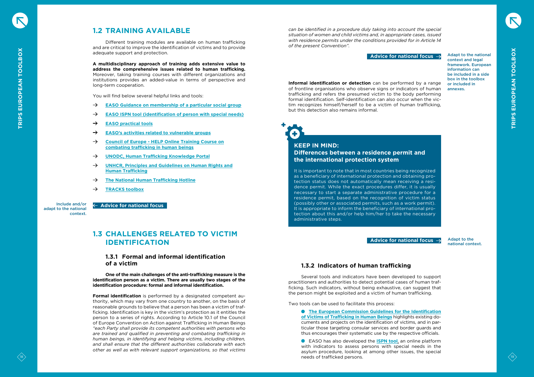<span id="page-9-0"></span>

# **1.2 TRAINING AVAILABLE**

Different training modules are available on human trafficking and are critical to improve the identification of victims and to provide adequate support and protection.

**A multidisciplinary approach of training adds extensive value to address the comprehensive issues related to human trafficking.** Moreover, taking training courses with different organizations and institutions provides an added-value in terms of perspective and long-term cooperation.

You will find below several helpful links and tools:

- **EASO Guidance on [membership](https://www.easo.europa.eu/sites/default/files/EASO-Guidance-on%20MPSG-EN.pdf) of a particular social group**
- **EASO ISPN tool [\(identification](https://ipsn.easo.europa.eu/easo-tool-identification-persons-special-needs) of person with special needs)**
- **[EASO practical tools](https://www.easo.europa.eu/practical-tools)**
- **EASO's activities related to [vulnerable](https://www.easo.europa.eu/asylum-support-training/vulnerable-groups) groups**
- **Council of Europe - HELP Online [Training](https://www.coe.int/en/web/anti-human-trafficking/help-online-training-course) Course on [combating](https://www.coe.int/en/web/anti-human-trafficking/help-online-training-course) trafficking in human beings**
- **UNODC, Human Trafficking [Knowledge](https://sherloc.unodc.org/cld/en/v3/htms/index.html?lng=en) Portal**
- **UNHCR, Principles and [Guidelines](https://www.unhcr.org/protection/migration/4bf6454c9/recommended-principles-guidelines-human-rights-human-trafficking.html?query=guidelines) on Human Rights and Human [Trafficking](https://www.unhcr.org/protection/migration/4bf6454c9/recommended-principles-guidelines-human-rights-human-trafficking.html?query=guidelines)**
- **The National Human [Trafficking](https://humantraffickinghotline.org/) Hotline**
- **[TRACKS](https://www.forumrefugies.org/images/s-informer/publications/rapports/tracks/TRACKS_Toolbox_EU_2018.pdf) toolbox**

Include and/or adapt to the national context.

18 **19 <b>CALL CAN A** CONSULTED THE CAN ALSO CONSULTED TO VICTIME CONSULTED TO VICTIME CONSULTED TO VICTIME CONSULTED TO VICTIME CONSULTED TO VICTIME CONSULTED TO VICTIME CONSULTED TO VICTIME CONSULTED TO VICTIME CONSULTED **Formal identification** is performed by a designated competent authority, which may vary from one country to another, on the basis of reasonable grounds to believe that a person has been a victim of trafficking. Identification is key in the victim's protection as it entitles the person to a series of rights. According to Article 10.1 of the Council of Europe Convention on Action against Trafficking in Human Beings *"each Party shall provide its competent authorities with persons who are trained and qualified in preventing and combating trafficking in human beings, in identifying and helping victims, including children, and shall ensure that the different authorities collaborate with each other as well as with relevant support organizations, so that victims* 

# **1.3 CHALLENGES RELATED TO VICTIM IDENTIFICATION**

## **1.3.1 Formal and informal identification of a victim**

 **One of the main challenges of the anti-trafficking measure is the identification person as a victim. There are usually two stages of the identification procedure: formal and informal identification.** 

 **Advice for national focus**

Adapt to the national context and legal framework. European information can be included in a side box in the toolbox or included in annexes.

Adapt to the national context.



*can be identified in a procedure duly taking into account the special situation of women and child victims and, in appropriate cases, issued with residence permits under the conditions provided for in Article 14 of the present Convention".*

**Informal identification or detection** can be performed by a range of frontline organisations who observe signs or indicators of human trafficking and refers the presumed victim to the body performing formal identification. Self-identification can also occur when the victim recognizes himself/herself to be a victim of human trafficking, but this detection also remains informal.

+

# **KEEP IN MIND: Differences between a residence permit and the international protection system**

 $\mathbf{t}$ 

It is important to note that in most countries being recognized as a beneficiary of international protection and obtaining protection status does not automatically mean receiving a residence permit. While the exact procedures differ, it is usually necessary to start a separate administrative procedure for a residence permit, based on the recognition of victim status (possibly other or associated permits, such as a work permit). It is appropriate to inform the beneficiary of international protection about this and/or help him/her to take the necessary administrative steps.

# **1.3.2 Indicators of human trafficking**

Several tools and indicators have been developed to support practitioners and authorities to detect potential cases of human trafficking. Such indicators, without being exhaustive, can suggest that the person might be exploited and a victim of human trafficking.

Two tools can be used to facilitate this process:

**The European Commission Guidelines for the [Identification](https://ec.europa.eu/anti-trafficking/sites/default/files/guidelines_on_identification_of_victims_1.pdf) of Victims of [Trafficking](https://ec.europa.eu/anti-trafficking/sites/default/files/guidelines_on_identification_of_victims_1.pdf) in Human Beings** highlights existing documents and projects on the identification of victims, and in particular those targeting consular services and border guards and thus encourages their systematic use by the respective officials.

EASO has also developed the **[ISPN tool](https://ipsn.easo.europa.eu/easo-tool-identification-persons-special-needs)**, an online platform with indicators to assess persons with special needs in the asylum procedure, looking at among other issues, the special needs of trafficked persons.

### **Advice for national focus**

**Advice for national focus**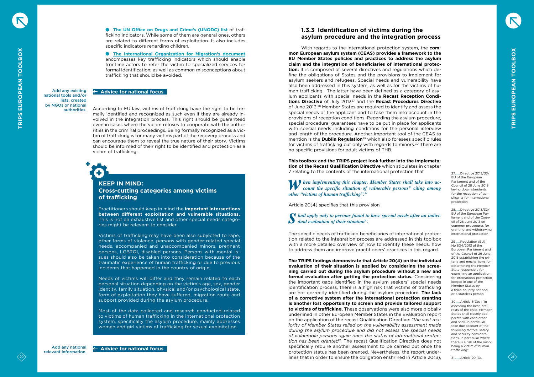**The UN Office on Drugs and Crime's [\(UNODC\)](https://www.unodc.org/pdf/HT_indicators_E_LOWRES.pdf) list** of trafficking indicators. While some of them are general ones, others are related to different forms of exploitation. It also includes specific indicators regarding children.

**The International [Organization](http://iomfrance.org/sites/default/files/DETECT_EN_web%20%28002%29.pdf) for Migration's document** encompasses key trafficking indicators which should enable frontline actors to refer the victim to specialized services for formal identification; as well as common misconceptions about trafficking that should be avoided.

Add any existing national tools and/or lists, created by NGOs or national authorities.

# $\overline{\textbf{t}}$ +

Add any national relevant information.

According to EU law, victims of trafficking have the right to be formally identified and recognized as such even if they are already involved in the integration process. This right should be guaranteed even in cases where the victim refuses to cooperate with the authorities in the criminal proceedings. Being formally recognized as a victim of trafficking is for many victims part of the recovery process and can encourage them to reveal the true nature of their story. Victims should be informed of their right to be identified and protection as a victim of trafficking.

# **KEEP IN MIND: Cross-cutting categories among victims of trafficking**

Practitioners should keep in mind the **important intersections between different exploitation and vulnerable situations.** This is not an exhaustive list and other special needs categories might be relevant to consider.

Victims of trafficking may have been also subjected to rape, other forms of violence, persons with gender-related special needs, accompanied and unaccompanied minors, pregnant persons, LGBTQI, disabled persons. Persons with mental issues should also be taken into consideration because of the traumatic experience of human trafficking or due to previous incidents that happened in the country of origin.

<span id="page-10-0"></span><sup>20</sup> <sup>21</sup> **TRIPS EUROPEAN TOOLBOX TRIPS EUROPEAN TOOLBOX** With regards to the international protection system, the **common European asylum system (CEAS) provides a framework to the EU Member States policies and practices to address the asylum claim and the integration of beneficiaries of international protection.** It is composed of several directives and regulations which define the obligations of States and the provisions to implement for asylum seekers and refugees. Special needs and vulnerability have also been addressed in this system, as well as for the victims of human trafficking. The latter have been defined as a category of asylum applicants with special needs in the **Recast Reception Conditions Directive** of July 201327 and the **Recast Procedures Directive** of June 2013.28 Member States are required to identify and assess the special needs of the applicant and to take them into account in the provisions of reception conditions. Regarding the asylum procedure, special procedural guarantees have to be put in place for applicants with special needs including conditions for the personal interview and length of the procedure. Another important tool of the CEAS to mention is the **Dublin Regulation**<sup>29</sup> which also foresees specific rules for victims of trafficking but only with regards to minors.30 There are no specific provisions for adult victims of THB.

Needs of victims will differ and they remain related to each personal situation depending on the victim's age, sex, gender identity, family situation, physical and/or psychological state, form of exploitation they have suffered, migration route and support provided during the asylum procedure.

*When implementing this chapter, Member States shall take into account the specific situation of vulnerable persons" citing among other "initiations of human trafficking" 31 other "victims of human trafficking".31*

Most of the data collected and research conducted related to victims of human trafficking in the international protection system, specifically the asylum procedure, mainly addresses women and girl victims of trafficking for sexual exploitation.

### **Advice for national focus**

 **Advice for national focus**

# **1.3.3 Identification of victims during the asylum procedure and the integration process**

**This toolbox and the TRIPS project look further into the implemetation of the Recast Qualification Directive** which stipulates in chapter 7 relating to the contents of the international protection that

Article 20(4) specifies that this provision

*shall apply only to persons found to have special needs after an individual evaluation of their situation".*

The specific needs of trafficked beneficiaries of international protection related to the integration process are addressed in this toolbox with a more detailed overview of how to identify these needs, how to address them and improve practitioners' practices in this regard.

**The TRIPS findings demonstrate that Article 20(4) on the individual evaluation of their situation is applied by considering the screening carried out during the asylum procedure without a new and formal evaluation after getting the protection status.** Considering the important gaps identified in the asylum seekers' special needs identification process, there is a high risk that victims of trafficking are not correctly identified during the asylum procedure. **The lack of a corrective system after the international protection granting is another lost opportunity to screen and provide tailored support to victims of trafficking.** These observations were also more globally underlined in other European Member States in the Evaluation report on the application of the recast Qualification Directive: *"the vast majority of Member States relied on the vulnerability assessment made during the asylum procedure and did not assess the special needs of vulnerable persons again once the status of international protection has been granted".* The recast Qualification Directive does not specifically require another assessment to be carried out once the protection status has been granted. Nevertheless, the report underlines that in order to ensure the obligation enshrined in Article 20(3),

27......Directive 2013/33/ EU of the European Parliament and of the Council of 26 June 2013 laying down standards for the reception of applicants for international protection

28......Directive 2013/32/ EU of the European Parliament and of the Council of 26 June 2013 on common procedures for granting and withdrawing international protection

29 .....Regulation (EU) No 604/2013 of the European Parliament and of the Council of 26 June 2013 establishing the criteria and mechanisms for determining the Member State responsible for examining an application for international protection lodged in one of the Member States by a third-country national or a stateless person.

30.....Article 6(3)c : "In assessing the best interests of the child, Member States shall closely cooperate with each other and shall, in particular, take due account of the following factors: safety and security considerations, in particular where there is a risk of the minor being a victim of human trafficking".

31.......Article 20 (3).



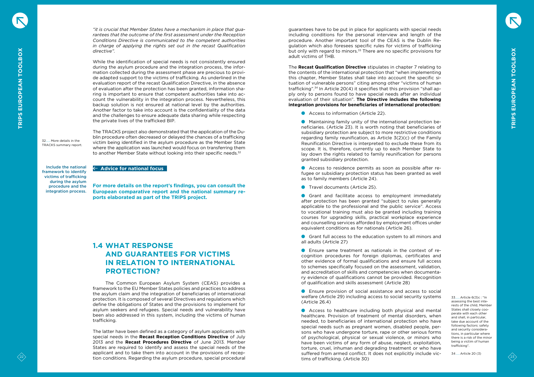*"it is crucial that Member States have a mechanism in place that guarantees that the outcome of the first assessment under the Reception Conditions Directive is communicated to the competent authorities in charge of applying the rights set out in the recast Qualification directive".* 

<span id="page-11-0"></span>22 **23**  $\alpha$  23 **22** 22 **23** 22 **23** 22 **23** 22 **23** 22 **23** 22 **23** 22 **23** 22 **23** 22 **23** 22 **23** 22 **23** 22 **23** 22 **23** 22 **23** 22 **23** 22 **23** 22 **23** 22 **23** 22 **23** 22 **23** 22 **23** 22 **23** 22 **23** 22 **23** 22 **23** While the identification of special needs is not consistently ensured during the asylum procedure and the integration process, the information collected during the assessment phase are precious to provide adapted support to the victims of trafficking. As underlined in the evaluation report of the recast Qualification Directive, in the absence of evaluation after the protection has been granted, information sharing is important to ensure that competent authorities take into account the vulnerability in the integration process. Nevertheless, this backup solution is not ensured at national level by the authorities. Another factor to take into account is the confidentiality of the data and the challenges to ensure adequate data sharing while respecting the private lives of the trafficked BIP.

The TRACKS project also demonstrated that the application of the Dublin procedure often decreased or delayed the chances of a trafficking victim being identified in the asylum procedure as the Member State where the application was launched would focus on transferring them to another Member State without looking into their specific needs.<sup>32</sup>

**For more details on the report's findings, you can consult the European comparative report and the national summary reports elaborated as part of the TRIPS project.**

Include the national

framework to identify victims of trafficking during the asylum procedure and the integration process.

# **1.4 WHAT RESPONSE AND GUARANTEES FOR VICTIMS IN RELATION TO INTERNATIONAL PROTECTION?**

The Common European Asylum System (CEAS) provides a framework to the EU Member States policies and practices to address the asylum claim and the integration of beneficiaries of international protection. It is composed of several Directives and regulations which define the obligations of States and the provisions to implement for asylum seekers and refugees. Special needs and vulnerability have been also addressed in this system, including the victims of human trafficking.

- Access to information (Article 22).
- Maintaining family unity of the international protection beneficiaries. (Article 23). It is worth noting that beneficiaries of subsidiary protection are subject to more restrictive conditions regarding family reunification, as Article 3(2)(c) of the Family Reunification Directive is interpreted to exclude these from its scope. It is, therefore, currently up to each Member State to lay down the rights related to family reunification for persons granted subsidiary protection.

The latter have been defined as a category of asylum applicants with special needs in the **Recast Reception Conditions Directive** of July 2013 and the **Recast Procedures Directive** of June 2013. Member States are required to identify and assess the special needs of the applicant and to take them into account in the provisions of reception conditions. Regarding the asylum procedure, special procedural

- **Travel documents (Article 25).**
- Grant and facilitate access to employment immediately after protection has been granted "subject to rules generally applicable to the professional and the public service". Access to vocational training must also be granted including training courses for upgrading skills, practical workplace experience and counselling services afforded by employment offices under equivalent conditions as for nationals (Article 26).
- Grant full access to the education system to all minors and all adults (Article 27)
- Ensure same treatment as nationals in the context of recognition procedures for foreign diplomas, certificates and other evidence of formal qualifications and ensure full access to schemes specifically focused on the assessment, validation, and accreditation of skills and competencies when documentary evidence of qualifications cannot be provided. Recognition of qualification and skills assessment (Article 28)
- Ensure provision of social assistance and access to social welfare (Article 29) including access to social security systems (Article 26.4)

32...... More details in the TRACKS summary report.

## **Advice for national focus**

guarantees have to be put in place for applicants with special needs including conditions for the personal interview and length of the procedure. Another important tool of the CEAS is the Dublin Regulation which also foresees specific rules for victims of trafficking but only with regard to minors.<sup>33</sup> There are no specific provisions for adult victims of THB.

The **Recast Qualification Directive** stipulates in chapter 7 relating to the contents of the international protection that "when implementing this chapter, Member States shall take into account the specific situation of vulnerable persons" citing among other "victims of human trafficking".34 In Article 20(4) it specifies that this provision "shall apply only to persons found to have special needs after an individual evaluation of their situation". **The Directive includes the following integration provisions for beneficiaries of international protection:**

Access to residence permits as soon as possible after refugee or subsidiary protection status has been granted as well as to family members (Article 24).

Access to healthcare including both physical and mental healthcare. Provision of treatment of mental disorders, when needed, to beneficiaries of international protection who have special needs such as pregnant women, disabled people, persons who have undergone torture, rape or other serious forms of psychological, physical or sexual violence, or minors who have been victims of any form of abuse, neglect, exploitation, torture, cruel, inhuman and degrading treatment or who have suffered from armed conflict. It does not explicitly include victims of trafficking. (Article 30)

33......Article 6(3)c : "In assessing the best interests of the child, Member States shall closely cooperate with each other and shall, in particular, take due account of the following factors: safety and security considerations, in particular where there is a risk of the minor being a victim of human trafficking".

34 .....Article 20 (3)



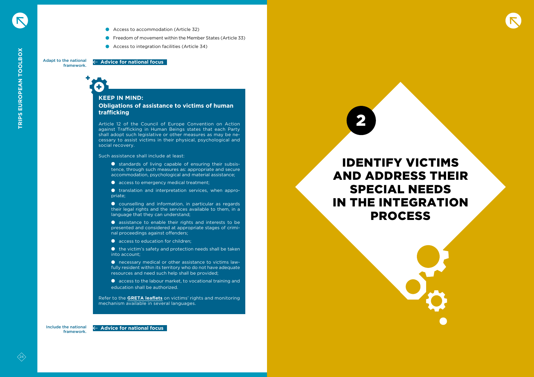- Access to accommodation (Article 32)
- **C** Freedom of movement within the Member States (Article 33)
- Access to integration facilities (Article 34)

# $\overline{\textbf{t}}$ +

Include the national framework.

# **KEEP IN MIND: Obligations of assistance to victims of human trafficking**

- standards of living capable of ensuring their subsistence, through such measures as: appropriate and secure accommodation, psychological and material assistance;
- **access to emergency medical treatment;**

**O** translation and interpretation services, when appropriate;

Article 12 of the Council of Europe Convention on Action against Trafficking in Human Beings states that each Party shall adopt such legislative or other measures as may be necessary to assist victims in their physical, psychological and social recovery.

Such assistance shall include at least:

- access to education for children:
- $\bullet$  the victim's safety and protection needs shall be taken into account;
- necessary medical or other assistance to victims lawfully resident within its territory who do not have adequate resources and need such help shall be provided;
- **Q** access to the labour market, to vocational training and education shall be authorized.

<span id="page-12-0"></span>Adapt to the national framework.  **Advice for national focus**

> counselling and information, in particular as regards their legal rights and the services available to them, in a language that they can understand;

> assistance to enable their rights and interests to be presented and considered at appropriate stages of criminal proceedings against offenders;

Refer to the **GRETA [leaflets](https://www.coe.int/en/web/anti-human-trafficking/leaflets)** on victims' rights and monitoring mechanism available in several languages.



# IDENTIFY VICTIMS AND ADDRESS THEIR SPECIAL NEEDS IN THE INTEGRATION PROCESS

2



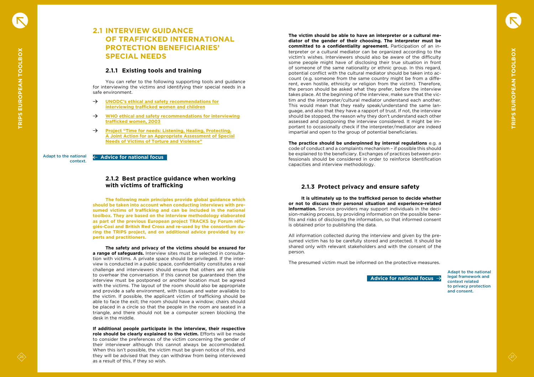# **2.1 INTERVIEW GUIDANCE OF TRAFFICKED INTERNATIONAL PROTECTION BENEFICIARIES' SPECIAL NEEDS**

# **2.1.1 Existing tools and training**

You can refer to the following supporting tools and guidance for interviewing the victims and identifying their special needs in a safe environment.

- **UNODC's ethical and safety [recommendations](https://www.unodc.org/documents/human-trafficking/Toolkit-files/08-58296_tool_6-12.pdf) for [interviewing](https://www.unodc.org/documents/human-trafficking/Toolkit-files/08-58296_tool_6-12.pdf) trafficked women and children**
- **WHO ethical and safety [recommendations](https://apps.who.int/iris/bitstream/handle/10665/42765/9241546255.pdf;jsessionid=9E34E289BB22F6E13FDA874445C97EF0?sequence=1) for interviewing [trafficked](https://apps.who.int/iris/bitstream/handle/10665/42765/9241546255.pdf;jsessionid=9E34E289BB22F6E13FDA874445C97EF0?sequence=1) women, 2003**
- **Project "Time for needs: Listening, Healing, [Protecting.](http://www.cir-onlus.org/wp-content/uploads/2017/10/final-report_TIME-FOR-NEEDS_CIR-1.pdf) A Joint Action for an [Appropriate](http://www.cir-onlus.org/wp-content/uploads/2017/10/final-report_TIME-FOR-NEEDS_CIR-1.pdf) Assessment of Special Needs of Victims of Torture and [Violence"](http://www.cir-onlus.org/wp-content/uploads/2017/10/final-report_TIME-FOR-NEEDS_CIR-1.pdf)**

# **2.1.2 Best practice guidance when working with victims of trafficking**

**The following main principles provide global guidance which should be taken into account when conducting interviews with presumed victims of trafficking and can be included in the national toolbox. They are based on the interview methodology elaborated as part of the previous European project TRACKS by Forum réfugiés-Cosi and British Red Cross and re-used by the consortium during the TRIPS project, and on additional advice provided by experts and practitioners.** 

 **The safety and privacy of the victims should be ensured for a range of safeguards.** Interview sites must be selected in consultation with victims. A private space should be privileged. If the interview is conducted in a public space, confidentiality constitutes a real challenge and interviewers should ensure that others are not able to overhear the conversation. If this cannot be guaranteed then the interview must be postponed or another location must be agreed with the victims. The layout of the room should also be appropriate and provide a safe environment, with tissues and water available to the victim. If possible, the applicant victim of trafficking should be able to face the exit; the room should have a window; chairs should be placed in a circle so that the people in the room are seated in a triangle, and there should not be a computer screen blocking the desk in the middle.

<span id="page-13-0"></span>26 27 **CALIBRIDGS** 27 **CALIBRIDGS 27 <b>CALIBRIDGS** 27 **CALIBRIDGS** 27 **CALIBRIDGS** 27 **CALIBRIDGS** 27 **CALIBRIDGS** 27 **CALIBRIDGS** 27 **CALIBRIDGS** 27 **CALIBRIDGS** 27 **CALIBRIDGS** 27 **CALIBRIDGS** 27 **CALIBRIDGS** 27 **CALIBRI The victim should be able to have an interpreter or a cultural mediator of the gender of their choosing. The interpreter must be committed to a confidentiality agreement.** Participation of an interpreter or a cultural mediator can be organized according to the victim's wishes. Interviewers should also be aware of the difficulty some people might have of disclosing their true situation in front of someone of the same nationality or ethnic group. In this regard, potential conflict with the cultural mediator should be taken into account (e.g. someone from the same country might be from a different, even hostile, ethnicity or religion from the victim). Therefore, the person should be asked what they prefer, before the interview takes place. At the beginning of the interview, make sure that the victim and the interpreter/cultural mediator understand each another. This would mean that they really speak/understand the same language, and also that they have a rapport of trust. If not, the interview should be stopped, the reason why they don't understand each other assessed and postponing the interview considered. It might be important to occasionally check if the interpreter/mediator are indeed impartial and open to the group of potential beneficiaries.

**If additional people participate in the interview, their respective role should be clearly explained to the victim.** Efforts will be made to consider the preferences of the victim concerning the gender of their interviewer although this cannot always be accommodated. When this isn't possible, the victim must be given notice of this, and they will be advised that they can withdraw from being interviewed as a result of this, if they so wish.

Adapt to the national context.



 **Advice for national focus**

**The practice should be underpinned by internal regulations** e.g. a code of conduct and a complaints mechanism – if possible this should be explained to the beneficiary. Exchanges of practices between professionals should be considered in order to reinforce identification capacities and interview methodology.

# **2.1.3 Protect privacy and ensure safety**

 **It is ultimately up to the trafficked person to decide whether or not to discuss their personal situation and experience-related information.** Service providers may support individuals in the decision-making process, by providing information on the possible benefits and risks of disclosing the information, so that informed consent is obtained prior to publishing the data.

All information collected during the interview and given by the presumed victim has to be carefully stored and protected. It should be shared only with relevant stakeholders and with the consent of the person.

The presumed victim must be informed on the protective measures.

Adapt to the national legal framework and context related to privacy protection and consent.



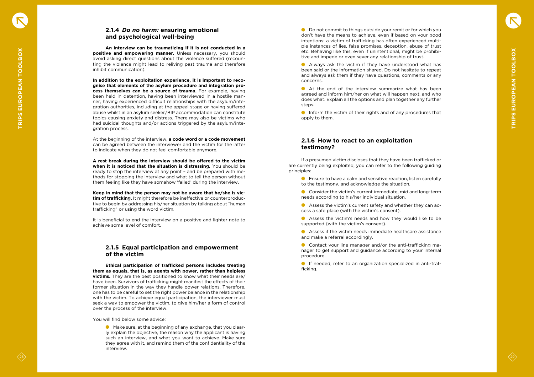# **2.1.4**  *Do no harm:* **ensuring emotional and psychological well-being**

 **An interview can be traumatizing if it is not conducted in a positive and empowering manner.** Unless necessary, you should avoid asking direct questions about the violence suffered (recoun ting the violence might lead to reliving past trauma and therefore inhibit communication).

<span id="page-14-0"></span>28 29 **TRIPS EUROPEAN TO CONSULTER CONSULTER AND THE CONSULTER CONSULTER AND CONSULTER AND CONSULTER AND CONSULTER AND CONSULTER AND CONSULTER AND CONSULTER AND CONSULTER AND CONSULTER AND CONSULTER AND CONSULTER AND CONS In addition to the exploitation experience, it is important to reco gnise that elements of the asylum procedure and integration pro cess themselves can be a source of trauma.** For example, having been held in detention, having been interviewed in a hostile man ner, having experienced difficult relationships with the asylum/inte gration authorities, including at the appeal stage or having suffered abuse whilst in an asylum seeker/BIP accommodation can constitute topics causing anxiety and distress. There may also be victims who had suicidal thoughts and/or actions triggered by the asylum/inte gration process.

At the beginning of the interview, **a code word or a code movement** can be agreed between the interviewer and the victim for the latter to indicate when they do not feel comfortable anymore.

**A rest break during the interview should be offered to the victim when it is noticed that the situation is distressing.** You should be ready to stop the interview at any point – and be prepared with me thods for stopping the interview and what to tell the person without them feeling like they have somehow 'failed' during the interview.

● Do not commit to things outside your remit or for which you don't have the means to achieve, even if based on your good intentions: a victim of trafficking has often experienced multi ple instances of lies, false promises, deception, abuse of trust etc. Behaving like this, even if unintentional, might be prohibi tive and impede or even sever any relationship of trust.

**Keep in mind that the person may not be aware that he/she is vic tim of trafficking.** It might therefore be ineffective or counterproduc tive to begin by addressing his/her situation by talking about "human trafficking" or using the word victim.

Inform the victim of their rights and of any procedures that apply to them.

It is beneficial to end the interview on a positive and lighter note to achieve some level of comfort.

# **2.1.5 Equal participation and empowerment of the victim**

**C** Ensure to have a calm and sensitive reaction, listen carefully to the testimony, and acknowledge the situation.

**Ethical participation of trafficked persons includes treating them as equals, that is, as agents with power, rather than helpless victims.** They are the best positioned to know what their needs are/ have been. Survivors of trafficking might manifest the effects of their former situation in the way they handle power relations. Therefore, one has to be careful to set the right power balance in the relationship with the victim. To achieve equal participation, the interviewer must seek a way to empower the victim, to give him/her a form of control over the process of the interview.

You will find below some advice:

Make sure, at the beginning of any exchange, that you clear ly explain the objective, the reason why the applicant is having such an interview, and what you want to achieve. Make sure they agree with it, and remind them of the confidentiality of the interview.

Always ask the victim if they have understood what has been said or the information shared. Do not hesitate to repeat and always ask them if they have questions, comments or any concerns.

At the end of the interview summarize what has been agreed and inform him/her on what will happen next, and who does what. Explain all the options and plan together any further steps.

# **2.1.6 How to react to an exploitation testimony?**

If a presumed victim discloses that they have been trafficked or are currently being exploited, you can refer to the following guiding principles:

Consider the victim's current immediate, mid and long-term needs according to his/her individual situation.

Assess the victim's current safety and whether they can ac cess a safe place (with the victim's consent).

Assess the victim's needs and how they would like to be supported (with the victim's consent).

Assess if the victim needs immediate healthcare assistance and make a referral accordingly.

Contact your line manager and/or the anti-trafficking ma nager to get support and guidance according to your internal procedure.

If needed, refer to an organization specialized in anti-traf ficking.



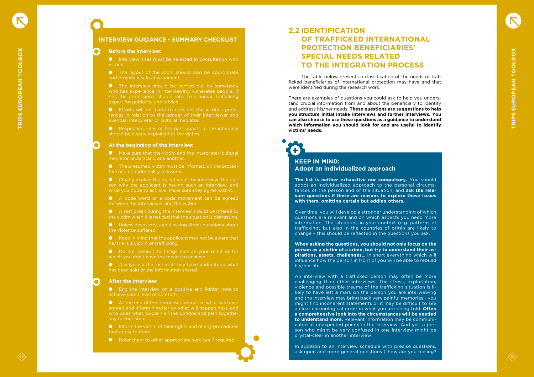# **INTERVIEW GUIDANCE - SUMMARY CHECKLIST**

Interview sites must be selected in consultation with victims.

### **Before the interview:**

**•** The layout of the room should also be appropriate and provide a safe environment.

**•** The interview should be carried out by somebody who has experience in interviewing vulnerable people. If not, the professional should refer to a human trafficking expert for guidance and advice.

**•** Respective roles of the participants in the interview should be clearly explained to the victim.

Efforts will be made to consider the victim's prefe rences in relation to the gender of their interviewer and eventual interpreter or cultural mediator.

A code word or a code movement can be agreed between the interviewer and the victim.

A rest break during the interview should be offered to the victim when it is noticed that the situation is distressing.

### **At the beginning of the interview:**

 $\bullet$  Keep in mind that the applicant may not be aware that he/she is a victim of trafficking.

Do not commit to things outside your remit or for which you don't have the means to achieve.

Make sure that the victim and the interpreter/cultural mediator understand one another.

**End the interview on a positive and lighter note to** achieve some level of comfort.

At the end of the interview summarize what has been agreed and inform him/her on what will happen next, and who does what. Explain all the options and plan together any further steps.

The presumed victim must be informed on the protec tive and confidentiality measures.

Inform the victim of their rights and of any procedures that apply to them.

Clearly explain the objective of the interview, the rea son why the applicant is having such an interview, and what you hope to achieve. Make sure they agree with it.

**O** Refer them to other appropriate services if required.

Unless necessary, avoid asking direct questions about the violence suffered.

# $\overline{\textbf{t}}$ **KEEP IN MIND: Adopt an individualized approach**

Always ask the victim if they have understood what has been said or the information shared.

### **After the interview:**

# **2.2 IDENTIFICATION OF TRAFFICKED INTERNATIONAL PROTECTION BENEFICIARIES' SPECIAL NEEDS RELATED TO THE INTEGRATION PROCESS**

<span id="page-15-0"></span>30 30 TRIPS ENTERTAIN PROCESS<br>
30 TRIPS ENTERTAINS PROCESS<br>
30 TRIPS ENTERTAINS PROCESS<br>
30 TRIPS ENTERTAINS PROCESS<br>
30 TRIPS ENTERTAINS PROCESS<br>
30 TRIPS ENTERTAINS PROCESS<br>
30 TRIPS ENTERTAINS PROCESS<br>
30 TRIPS ENTERTAI An interview with a trafficked person may often be more challenging than other interviews. The stress, exploitation, violence and possible trauma of the trafficking situation is li kely to have left a mark on the person you are interviewing and the interview may bring back very painful memories - you might find incoherent statements or it may be difficult to see a clear chronological order in what you are being told. **Often a comprehensive look into the circumstances will be needed to understand more.** Relevant information may be communi cated at unexpected points in the interview. And yet, a per son who might be very confused in one interview might be crystal-clear in another interview.

The table below presents a classification of the needs of traf ficked beneficiaries of international protection may have and that were identified during the research work.

There are examples of questions you could ask to help you unders tand crucial information from and about the beneficiary to identify and address his/her needs. **These questions are suggestions to help you structure initial intake interviews and further interviews. You can also choose to use these questions as a guidance to understand which information you should look for and are useful to identify victims' needs.**

+

**The list is neither exhaustive nor compulsory.** You should adopt an individualized approach to the personal circums tances of the person and of the situation; and **ask the rele vant questions if there are reasons to explore these issues with them, omitting certain but adding others.**

Over time, you will develop a stronger understanding of which questions are relevant and on which aspects you need more information. The situations in your context (e.g. patterns of trafficking) but also in the countries of origin are likely to change – this should be reflected in the questions you ask.

**When asking the questions, you should not only focus on the person as a victim of a crime, but try to understand their as pirations, assets, challenges…** in short everything which will influence how the person in front of you will be able to rebuild his/her life.

In addition to an interview schedule with precise questions, ask open and more general questions ("how are you feeling?



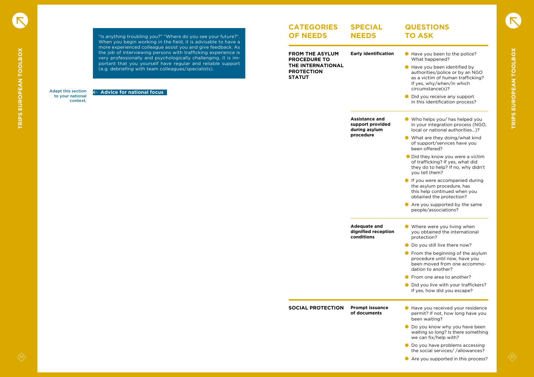### Adapt this section to your national context.

 **Advice for national focus**

**FROM THE ASYLUM PROCEDURE TO THE INTERNATIONAL PROTECTION STATUT**

### **CATEGORIES OF NEEDS SPECIAL NEEDS**

**SOCIAL PROTECTION Prompt issuance of documents**

**Early identification**

**Assistance and support provided during asylum procedure**

**Adequate and dignified reception conditions**

- Have you been to the police? What happened?
- **Have you been identified by** authorities/police or by an NGO as a victim of human trafficking? If yes, why/when/in which circumstance(s)?
- Did you receive any support in this identification process?
- Who helps you/ has helped you in your integration process (NGO, local or national authorities…)?
- What are they doing/what kind of support/services have you been offered?
- Did they know you were a victim of trafficking? If yes, what did they do to help? If no, why didn't you tell them?
- If you were accompanied during the asylum procedure, has this help continued when you obtained the protection?
- Are you supported by the same people/associations?
- Where were you living when you obtained the international protection?
- Do you still live there now?
- $\bullet$  From the beginning of the asylum procedure until now, have you been moved from one accommodation to another?
- **•** From one area to another?
- Did you live with your traffickers? If yes, how did you escape?
- Have you received your residence permit? If not, how long have you been waiting?
- **O** Do you know why you have been waiting so long? Is there something we can fix/help with?
- $\bullet$  Do you have problems accessing the social services/ /allowances?
- Are you supported in this process?



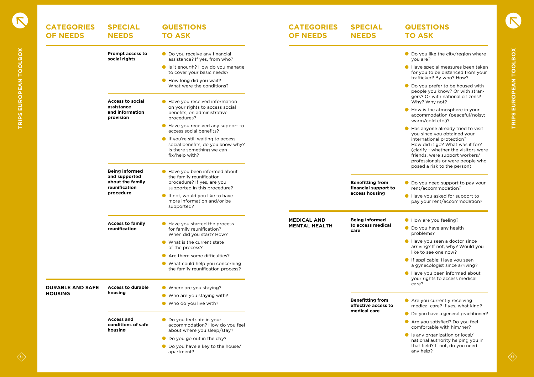| <b>CATEGORIES</b><br><b>OF NEEDS</b> | <b>SPECIAL</b><br><b>NEEDS</b>                                              | <b>QUESTIONS</b><br><b>TO ASK</b>                                                                                      | <b>CATEGORIES</b><br><b>OF NEEDS</b>       | <b>SPECIAL</b><br><b>NEEDS</b>                  | <b>QUESTIONS</b><br><b>TO ASK</b>                                                                                                                                                                                                        |
|--------------------------------------|-----------------------------------------------------------------------------|------------------------------------------------------------------------------------------------------------------------|--------------------------------------------|-------------------------------------------------|------------------------------------------------------------------------------------------------------------------------------------------------------------------------------------------------------------------------------------------|
|                                      | <b>Prompt access to</b><br>social rights                                    | ● Do you receive any financial<br>assistance? If yes, from who?                                                        |                                            |                                                 | ● Do you like the city/region where<br>you are?                                                                                                                                                                                          |
|                                      |                                                                             | Is it enough? How do you manage<br>to cover your basic needs?                                                          |                                            |                                                 | Have special measures been taken<br>for you to be distanced from your<br>trafficker? By who? How?                                                                                                                                        |
|                                      |                                                                             | How long did you wait?<br>What were the conditions?                                                                    |                                            |                                                 | ● Do you prefer to be housed with<br>people you know? Or with stran-<br>gers? Or with national citizens?                                                                                                                                 |
|                                      | <b>Access to social</b><br>assistance<br>and information<br>provision       | Have you received information<br>on your rights to access social<br>benefits, on administrative<br>procedures?         |                                            |                                                 | Why? Why not?<br>How is the atmosphere in your<br>accommodation (peaceful/noisy;<br>warm/cold etc.)?                                                                                                                                     |
|                                      |                                                                             | Have you received any support to<br>access social benefits?                                                            |                                            |                                                 | ● Has anyone already tried to visit                                                                                                                                                                                                      |
|                                      |                                                                             | If you're still waiting to access<br>social benefits, do you know why?<br>Is there something we can<br>fix/help with?  |                                            |                                                 | you since you obtained your<br>international protection?<br>How did it go? What was it for?<br>(clarify - whether the visitors were<br>friends, were support workers/<br>professionals or were people who<br>posed a risk to the person) |
|                                      | <b>Being informed</b><br>and supported<br>about the family<br>reunification | Have you been informed about<br>the family reunification<br>procedure? If yes, are you<br>supported in this procedure? |                                            | <b>Benefitting from</b><br>financial support to | ● Do you need support to pay your<br>rent/accommodation?                                                                                                                                                                                 |
|                                      | procedure                                                                   | If not, would you like to have<br>more information and/or be<br>supported?                                             |                                            | access housing                                  | Have you asked for support to<br>pay your rent/accommodation?                                                                                                                                                                            |
|                                      | <b>Access to family</b>                                                     | Have you started the process                                                                                           | <b>MEDICAL AND</b><br><b>MENTAL HEALTH</b> | <b>Being informed</b><br>to access medical      | How are you feeling?                                                                                                                                                                                                                     |
|                                      | reunification                                                               | for family reunification?<br>When did you start? How?                                                                  |                                            | care                                            | ● Do you have any health<br>problems?                                                                                                                                                                                                    |
|                                      |                                                                             | • What is the current state<br>of the process?                                                                         |                                            |                                                 | Have you seen a doctor since<br>arriving? If not, why? Would you<br>like to see one now?                                                                                                                                                 |
|                                      |                                                                             | Are there some difficulties?                                                                                           |                                            |                                                 | ● If applicable: Have you seen                                                                                                                                                                                                           |
|                                      |                                                                             | • What could help you concerning<br>the family reunification process?                                                  |                                            |                                                 | a gynecologist since arriving?<br>Have you been informed about                                                                                                                                                                           |
| <b>DURABLE AND SAFE</b>              | <b>Access to durable</b>                                                    | • Where are you staying?                                                                                               |                                            |                                                 | your rights to access medical<br>care?                                                                                                                                                                                                   |
| <b>HOUSING</b>                       | housing                                                                     | • Who are you staying with?                                                                                            |                                            |                                                 |                                                                                                                                                                                                                                          |
|                                      |                                                                             | • Who do you live with?                                                                                                |                                            | <b>Benefitting from</b><br>effective access to  | Are you currently receiving<br>medical care? If yes, what kind?                                                                                                                                                                          |
|                                      |                                                                             |                                                                                                                        |                                            | medical care                                    | ● Do you have a general practitioner?                                                                                                                                                                                                    |
|                                      | <b>Access and</b><br>conditions of safe<br>housing                          | ● Do you feel safe in your<br>accommodation? How do you feel<br>about where you sleep/stay?                            |                                            |                                                 | ● Are you satisfied? Do you feel<br>comfortable with him/her?                                                                                                                                                                            |
|                                      |                                                                             | $\bullet$ Do you go out in the day?                                                                                    |                                            |                                                 | Is any organization or local/<br>national authority helping you in                                                                                                                                                                       |
|                                      |                                                                             | ● Do you have a key to the house/<br>apartment?                                                                        |                                            |                                                 | that field? If not, do you need<br>any help?                                                                                                                                                                                             |

- Do you like the city/region where you are?
- Have special measures been taken for you to be distanced from your trafficker? By who? How?
- Do you prefer to be housed with people you know? Or with stran gers? Or with national citizens? Why? Why not?
- How is the atmosphere in your accommodation (peaceful/noisy; warm/cold etc.)?
- Has anyone already tried to visit you since you obtained your international protection? How did it go? What was it for? (clarify - whether the visitors were friends, were support workers/ professionals or were people who posed a risk to the person)
- Do you need support to pay your rent/accommodation?
- Have you asked for support to pay your rent/accommodation?
- How are you feeling?
- Do you have any health problems?
- **Have you seen a doctor since** arriving? If not, why? Would you like to see one now?
- **If applicable: Have you seen** a gynecologist since arriving?
- Have you been informed about your rights to access medical care?
- **Are you currently receiving** medical care? If yes, what kind?
- Do you have a general practitioner?
- Are you satisfied? Do you feel comfortable with him/her?
- Is any organization or local/ national authority helping you in that field? If not, do you need any help?

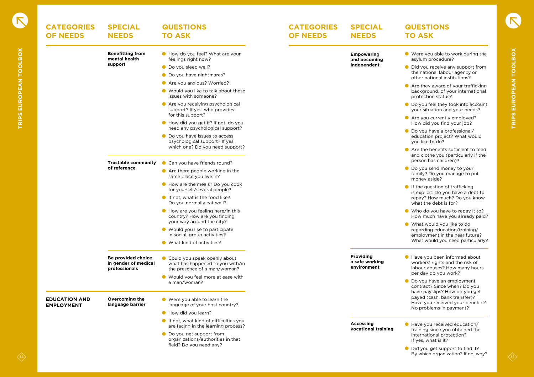| <b>CATEGORIES</b><br><b>OF NEEDS</b>      | <b>SPECIAL</b><br><b>NEEDS</b>                              | <b>QUESTIONS</b><br><b>TO ASK</b>                                                                | <b>CATEGORIES</b><br><b>OF NEEDS</b> | <b>SPECIAL</b><br><b>NEEDS</b>                    | <b>QUESTIONS</b><br><b>TO ASK</b>                                                                                            |
|-------------------------------------------|-------------------------------------------------------------|--------------------------------------------------------------------------------------------------|--------------------------------------|---------------------------------------------------|------------------------------------------------------------------------------------------------------------------------------|
|                                           | <b>Benefitting from</b><br>mental health                    | How do you feel? What are your<br>feelings right now?                                            |                                      | <b>Empowering</b><br>and becoming                 | ● Were you able to work during the<br>asylum procedure?                                                                      |
|                                           | support                                                     | • Do you sleep well?<br>● Do you have nightmares?                                                |                                      | independent                                       | • Did you receive any support from<br>the national labour agency or                                                          |
|                                           |                                                             | Are you anxious? Worried?                                                                        |                                      |                                                   | other national institutions?<br>● Are they aware of your trafficking                                                         |
|                                           |                                                             | ● Would you like to talk about these<br>issues with someone?                                     |                                      |                                                   | background, of your international<br>protection status?                                                                      |
|                                           |                                                             | ● Are you receiving psychological<br>support? If yes, who provides                               |                                      |                                                   | ● Do you feel they took into account<br>your situation and your needs?                                                       |
|                                           |                                                             | for this support?<br>How did you get it? If not, do you<br>need any psychological support?       |                                      |                                                   | Are you currently employed?<br>How did you find your job?                                                                    |
|                                           |                                                             | • Do you have issues to access<br>psychological support? If yes,                                 |                                      |                                                   | ● Do you have a professional/<br>education project? What would<br>you like to do?                                            |
|                                           |                                                             | which one? Do you need support?                                                                  |                                      |                                                   | ● Are the benefits sufficient to feed<br>and clothe you (particularly if the<br>person has children)?                        |
|                                           | <b>Trustable community</b><br>of reference                  | Can you have friends round?                                                                      |                                      |                                                   | ● Do you send money to your                                                                                                  |
|                                           |                                                             | $\bullet$ Are there people working in the<br>same place you live in?                             |                                      |                                                   | family? Do you manage to put<br>money aside?                                                                                 |
|                                           |                                                             | How are the meals? Do you cook<br>for yourself/several people?                                   |                                      |                                                   | If the question of trafficking<br>is explicit: Do you have a debt to                                                         |
|                                           |                                                             | If not, what is the food like?<br>Do you normally eat well?                                      |                                      |                                                   | repay? How much? Do you know<br>what the debt is for?                                                                        |
|                                           |                                                             | How are you feeling here/in this<br>country? How are you finding<br>your way around the city?    |                                      |                                                   | • Who do you have to repay it to?<br>How much have you already paid?                                                         |
|                                           |                                                             | ● Would you like to participate<br>in social, group activities?                                  |                                      |                                                   | • What would you like to do<br>regarding education/training/<br>employment in the near future?                               |
|                                           |                                                             | • What kind of activities?                                                                       |                                      |                                                   | What would you need particularly?                                                                                            |
|                                           | Be provided choice<br>in gender of medical<br>professionals | Could you speak openly about<br>what has happened to you with/in<br>the presence of a man/woman? |                                      | <b>Providing</b><br>a safe working<br>environment | Have you been informed about<br>workers' rights and the risk of<br>labour abuses? How many hours<br>per day do you work?     |
|                                           |                                                             | ● Would you feel more at ease with<br>a man/woman?                                               |                                      |                                                   | ● Do you have an employment<br>contract? Since when? Do you                                                                  |
| <b>EDUCATION AND</b><br><b>EMPLOYMENT</b> | <b>Overcoming the</b><br>language barrier                   | ● Were you able to learn the<br>language of your host country?                                   |                                      |                                                   | have payslips? How do you get<br>payed (cash, bank transfer)?<br>Have you received your benefits?<br>No problems in payment? |
|                                           |                                                             | How did you learn?                                                                               |                                      |                                                   |                                                                                                                              |
|                                           |                                                             | If not, what kind of difficulties you<br>are facing in the learning process?                     |                                      | <b>Accessing</b><br>vocational training           | Have you received education/<br>training since you obtained the                                                              |
|                                           |                                                             | ● Do you get support from<br>organizations/authorities in that<br>field? Do you need any?        |                                      |                                                   | international protection?<br>If yes, what is it?                                                                             |
|                                           |                                                             |                                                                                                  |                                      |                                                   | • Did you get support to find it?<br>By which organization? If no, why?                                                      |

- Were you able to work during the asylum procedure?
- Did you receive any support from the national labour agency or other national institutions?
- **Are they aware of your trafficking** background, of your international protection status?
- Do you feel they took into account your situation and your needs?
- **Are you currently employed?** How did you find your job?
- Do you have a professional/ education project? What would you like to do?
- Are the benefits sufficient to feed and clothe you (particularly if the person has children)?
- **O** Do you send money to your family? Do you manage to put money aside?
- $\bullet$  If the question of trafficking is explicit: Do you have a debt to repay? How much? Do you know what the debt is for?
- Who do you have to repay it to? How much have you already paid?
- What would you like to do regarding education/training/ employment in the near future? What would you need particularly?
- Have you been informed about workers' rights and the risk of labour abuses? How many hours per day do you work?
- Do you have an employment contract? Since when? Do you have payslips? How do you get payed (cash, bank transfer)? Have you received your benefits? No problems in payment?
- Have you received education/ training since you obtained the international protection? If yes, what is it?
- Did you get support to find it? By which organization? If no, why?

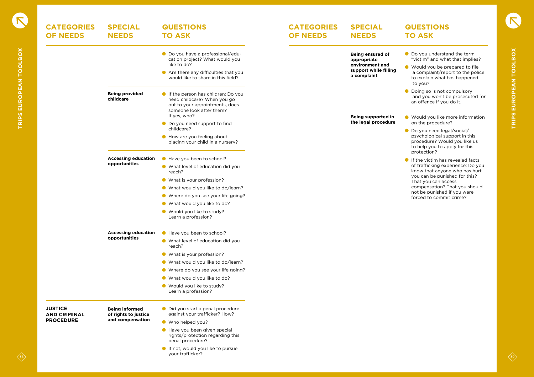| <b>CATEGORIES</b><br><b>OF NEEDS</b>  | <b>SPECIAL</b><br><b>NEEDS</b>                | <b>QUESTIONS</b><br><b>TO ASK</b>                                                                                               | <b>CATEGORIES</b><br><b>OF NEEDS</b> | <b>SPECIAL</b><br><b>NEEDS</b>                          | <b>QUESTIONS</b><br><b>TO ASK</b>                                                                                                            |
|---------------------------------------|-----------------------------------------------|---------------------------------------------------------------------------------------------------------------------------------|--------------------------------------|---------------------------------------------------------|----------------------------------------------------------------------------------------------------------------------------------------------|
|                                       |                                               | ● Do you have a professional/edu-<br>cation project? What would you<br>like to do?                                              |                                      | <b>Being ensured of</b><br>appropriate                  | ● Do you understand the term<br>"victim" and what that implies?                                                                              |
|                                       |                                               | ● Are there any difficulties that you<br>would like to share in this field?                                                     |                                      | environment and<br>support while filling<br>a complaint | ● Would you be prepared to file<br>a complaint/report to the police<br>to explain what has happened<br>to you?                               |
|                                       | <b>Being provided</b><br>childcare            | If the person has children: Do you<br>need childcare? When you go<br>out to your appointments, does<br>someone look after them? |                                      |                                                         | • Doing so is not compulsory<br>and you won't be prosecuted for<br>an offence if you do it.                                                  |
|                                       |                                               | If yes, who?<br>● Do you need support to find<br>childcare?                                                                     |                                      | <b>Being supported in</b><br>the legal procedure        | ● Would you like more information<br>on the procedure?                                                                                       |
|                                       |                                               | How are you feeling about<br>placing your child in a nursery?                                                                   |                                      |                                                         | ● Do you need legal/social/<br>psychological support in this<br>procedure? Would you like us<br>to help you to apply for this<br>protection? |
|                                       | <b>Accessing education</b><br>opportunities   | Have you been to school?<br>• What level of education did you                                                                   |                                      |                                                         | If the victim has revealed facts<br>of trafficking experience: Do you                                                                        |
|                                       |                                               | reach?<br>• What is your profession?                                                                                            |                                      |                                                         | know that anyone who has hurt<br>you can be punished for this?<br>That you can access<br>compensation? That you should                       |
|                                       |                                               | • What would you like to do/learn?<br>• Where do you see your life going?                                                       |                                      |                                                         | not be punished if you were                                                                                                                  |
|                                       |                                               | • What would you like to do?                                                                                                    |                                      |                                                         | forced to commit crime?                                                                                                                      |
|                                       |                                               | ● Would you like to study?<br>Learn a profession?                                                                               |                                      |                                                         |                                                                                                                                              |
|                                       | <b>Accessing education</b>                    | Have you been to school?                                                                                                        |                                      |                                                         |                                                                                                                                              |
|                                       | opportunities                                 | • What level of education did you<br>reach?                                                                                     |                                      |                                                         |                                                                                                                                              |
|                                       |                                               | • What is your profession?                                                                                                      |                                      |                                                         |                                                                                                                                              |
|                                       |                                               | • What would you like to do/learn?                                                                                              |                                      |                                                         |                                                                                                                                              |
|                                       |                                               | • Where do you see your life going?                                                                                             |                                      |                                                         |                                                                                                                                              |
|                                       |                                               | • What would you like to do?                                                                                                    |                                      |                                                         |                                                                                                                                              |
|                                       |                                               | • Would you like to study?<br>Learn a profession?                                                                               |                                      |                                                         |                                                                                                                                              |
| <b>JUSTICE</b><br><b>AND CRIMINAL</b> | <b>Being informed</b><br>of rights to justice | • Did you start a penal procedure<br>against your trafficker? How?                                                              |                                      |                                                         |                                                                                                                                              |
| <b>PROCEDURE</b>                      | and compensation                              | • Who helped you?                                                                                                               |                                      |                                                         |                                                                                                                                              |
|                                       |                                               | Have you been given special<br>rights/protection regarding this<br>penal procedure?                                             |                                      |                                                         |                                                                                                                                              |
|                                       |                                               | If not, would you like to pursue<br>your trafficker?                                                                            |                                      |                                                         |                                                                                                                                              |

- **O** Do you understand the term "victim" and what that implies?
- Would you be prepared to file a complaint/report to the police to explain what has happened to you?
- **O** Doing so is not compulsory and you won't be prosecuted for an offence if you do it.
- **Would you like more information** on the procedure?
- Do you need legal/social/ psychological support in this procedure? Would you like us to help you to apply for this protection?
- If the victim has revealed facts of trafficking experience: Do you know that anyone who has hurt you can be punished for this? That you can access compensation? That you should not be punished if you were forced to commit crime?



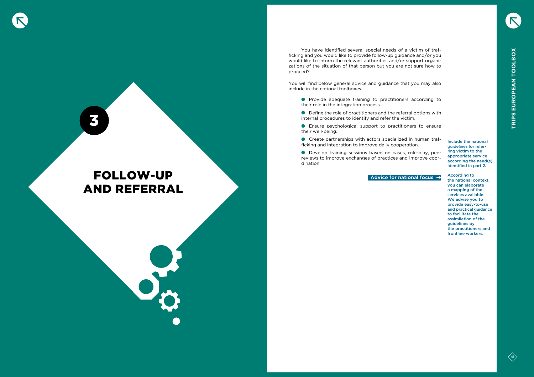

# FOLLOW-UP AND REFERRAL

You have identified several special needs of a victim of trafficking and you would like to provide follow-up guidance and/or you would like to inform the relevant authorities and/or support organizations of the situation of that person but you are not sure how to proceed?

You will find below general advice and guidance that you may also include in the national toolboxes.

- **•** Provide adequate training to practitioners according to their role in the integration process.
- Define the role of practitioners and the referral options with internal procedures to identify and refer the victim.
- Ensure psychological support to practitioners to ensure their well-being.
- Create partnerships with actors specialized in human trafficking and integration to improve daily cooperation.

Develop training sessions based on cases, role-play, peer reviews to improve exchanges of practices and improve coordination.

Include the national guidelines for referring victim to the appropriate service according the need(s) identified in part 2.

According to the national context, you can elaborate a mapping of the services available. We advise you to provide easy-to-use and practical guidance to facilitate the assimilation of the guidelines by the practitioners and frontline workers.



**Advice for national focus** 

3



<span id="page-20-0"></span>